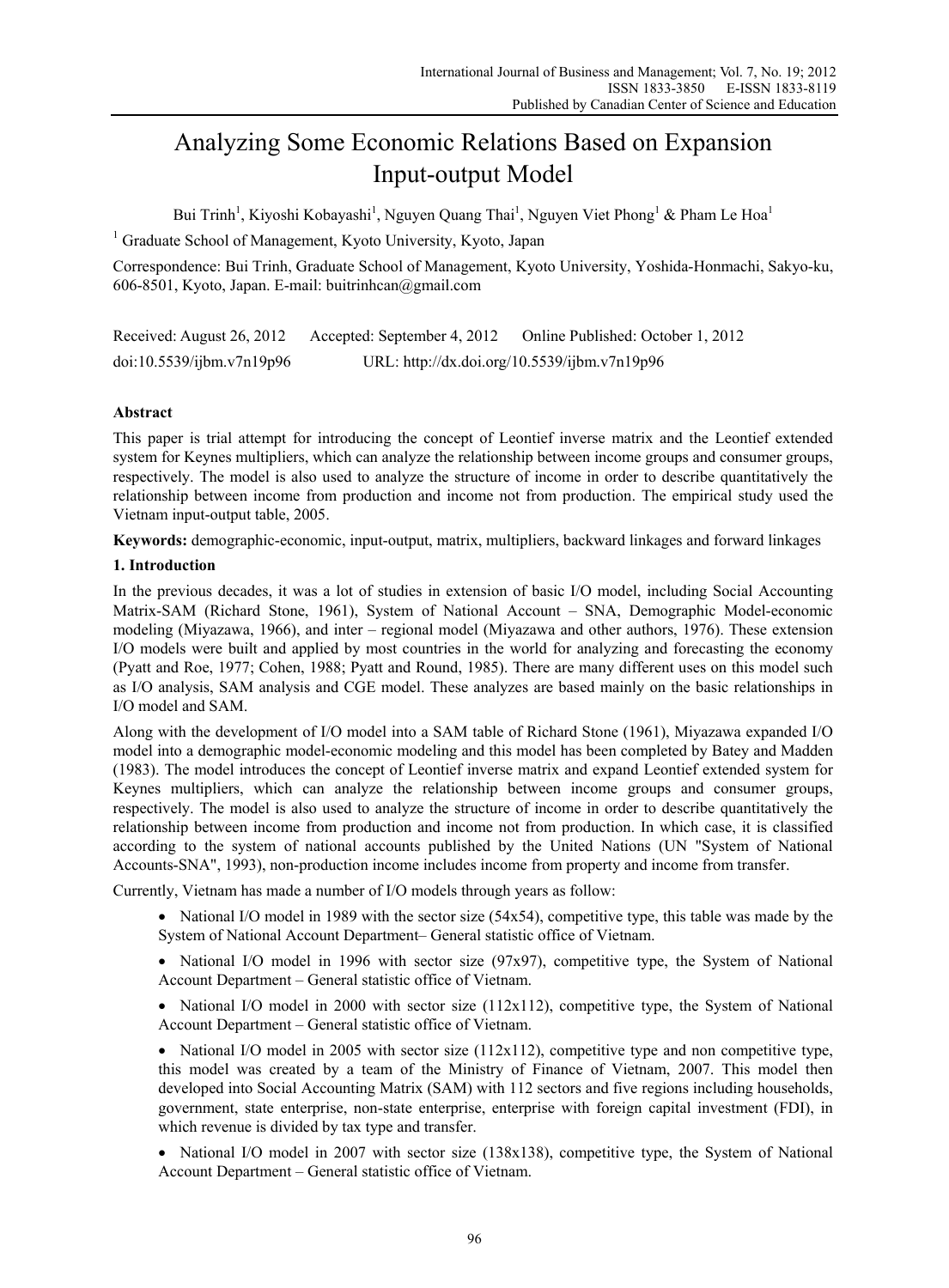# Analyzing Some Economic Relations Based on Expansion Input-output Model

Bui Trinh<sup>1</sup>, Kiyoshi Kobayashi<sup>1</sup>, Nguyen Quang Thai<sup>1</sup>, Nguyen Viet Phong<sup>1</sup> & Pham Le Hoa<sup>1</sup>

<sup>1</sup> Graduate School of Management, Kyoto University, Kyoto, Japan

Correspondence: Bui Trinh, Graduate School of Management, Kyoto University, Yoshida-Honmachi, Sakyo-ku, 606-8501, Kyoto, Japan. E-mail: buitrinhcan@gmail.com

| Received: August 26, 2012 | Accepted: September 4, 2012 | Online Published: October 1, 2012            |
|---------------------------|-----------------------------|----------------------------------------------|
| doi:10.5539/ijbm.v7n19p96 |                             | URL: http://dx.doi.org/10.5539/ijbm.v7n19p96 |

# **Abstract**

This paper is trial attempt for introducing the concept of Leontief inverse matrix and the Leontief extended system for Keynes multipliers, which can analyze the relationship between income groups and consumer groups, respectively. The model is also used to analyze the structure of income in order to describe quantitatively the relationship between income from production and income not from production. The empirical study used the Vietnam input-output table, 2005.

**Keywords:** demographic-economic, input-output, matrix, multipliers, backward linkages and forward linkages

# **1. Introduction**

In the previous decades, it was a lot of studies in extension of basic I/O model, including Social Accounting Matrix-SAM (Richard Stone, 1961), System of National Account – SNA, Demographic Model-economic modeling (Miyazawa, 1966), and inter – regional model (Miyazawa and other authors, 1976). These extension I/O models were built and applied by most countries in the world for analyzing and forecasting the economy (Pyatt and Roe, 1977; Cohen, 1988; Pyatt and Round, 1985). There are many different uses on this model such as I/O analysis, SAM analysis and CGE model. These analyzes are based mainly on the basic relationships in I/O model and SAM.

Along with the development of I/O model into a SAM table of Richard Stone (1961), Miyazawa expanded I/O model into a demographic model-economic modeling and this model has been completed by Batey and Madden (1983). The model introduces the concept of Leontief inverse matrix and expand Leontief extended system for Keynes multipliers, which can analyze the relationship between income groups and consumer groups, respectively. The model is also used to analyze the structure of income in order to describe quantitatively the relationship between income from production and income not from production. In which case, it is classified according to the system of national accounts published by the United Nations (UN "System of National Accounts-SNA", 1993), non-production income includes income from property and income from transfer.

Currently, Vietnam has made a number of I/O models through years as follow:

- National I/O model in 1989 with the sector size (54x54), competitive type, this table was made by the System of National Account Department– General statistic office of Vietnam.
- National I/O model in 1996 with sector size (97x97), competitive type, the System of National Account Department – General statistic office of Vietnam.
- National I/O model in 2000 with sector size  $(112x112)$ , competitive type, the System of National Account Department – General statistic office of Vietnam.

• National I/O model in 2005 with sector size  $(112x112)$ , competitive type and non competitive type, this model was created by a team of the Ministry of Finance of Vietnam, 2007. This model then developed into Social Accounting Matrix (SAM) with 112 sectors and five regions including households, government, state enterprise, non-state enterprise, enterprise with foreign capital investment (FDI), in which revenue is divided by tax type and transfer.

• National I/O model in 2007 with sector size (138x138), competitive type, the System of National Account Department – General statistic office of Vietnam.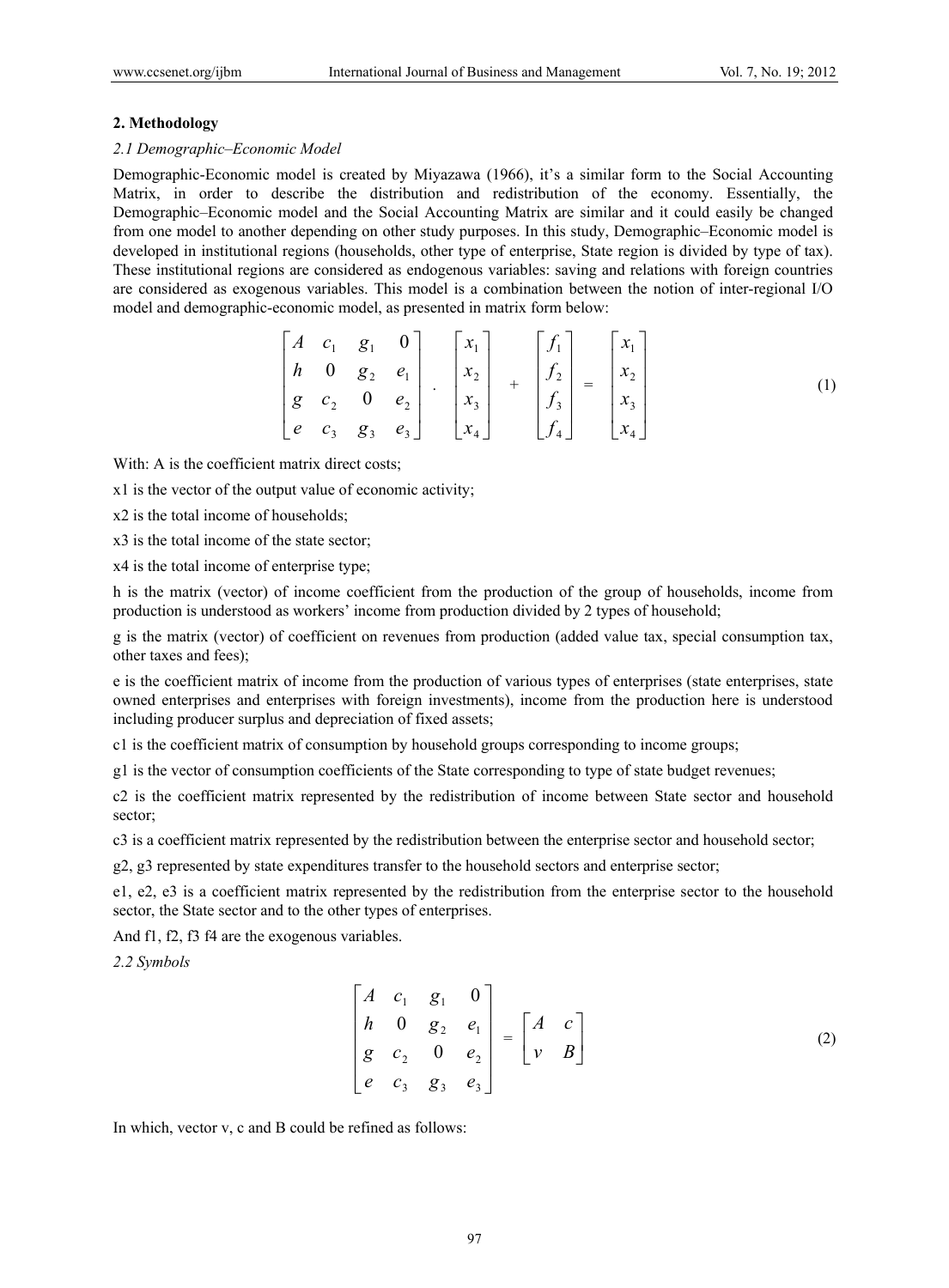#### **2. Methodology**

### *2.1 Demographic–Economic Model*

Demographic-Economic model is created by Miyazawa (1966), it's a similar form to the Social Accounting Matrix, in order to describe the distribution and redistribution of the economy. Essentially, the Demographic–Economic model and the Social Accounting Matrix are similar and it could easily be changed from one model to another depending on other study purposes. In this study, Demographic–Economic model is developed in institutional regions (households, other type of enterprise, State region is divided by type of tax). These institutional regions are considered as endogenous variables: saving and relations with foreign countries are considered as exogenous variables. This model is a combination between the notion of inter-regional I/O model and demographic-economic model, as presented in matrix form below:

$$
\begin{bmatrix} A & c_1 & g_1 & 0 \\ h & 0 & g_2 & e_1 \\ g & c_2 & 0 & e_2 \\ e & c_3 & g_3 & e_3 \end{bmatrix} \cdot \begin{bmatrix} x_1 \\ x_2 \\ x_3 \\ x_4 \end{bmatrix} + \begin{bmatrix} f_1 \\ f_2 \\ f_3 \\ f_4 \end{bmatrix} = \begin{bmatrix} x_1 \\ x_2 \\ x_3 \\ x_4 \end{bmatrix} \tag{1}
$$

With: A is the coefficient matrix direct costs;

x1 is the vector of the output value of economic activity;

x2 is the total income of households;

x3 is the total income of the state sector;

x4 is the total income of enterprise type;

h is the matrix (vector) of income coefficient from the production of the group of households, income from production is understood as workers' income from production divided by 2 types of household;

g is the matrix (vector) of coefficient on revenues from production (added value tax, special consumption tax, other taxes and fees);

e is the coefficient matrix of income from the production of various types of enterprises (state enterprises, state owned enterprises and enterprises with foreign investments), income from the production here is understood including producer surplus and depreciation of fixed assets;

c1 is the coefficient matrix of consumption by household groups corresponding to income groups;

g1 is the vector of consumption coefficients of the State corresponding to type of state budget revenues;

c2 is the coefficient matrix represented by the redistribution of income between State sector and household sector;

c3 is a coefficient matrix represented by the redistribution between the enterprise sector and household sector;

g2, g3 represented by state expenditures transfer to the household sectors and enterprise sector;

e1, e2, e3 is a coefficient matrix represented by the redistribution from the enterprise sector to the household sector, the State sector and to the other types of enterprises.

And f1, f2, f3 f4 are the exogenous variables.

*2.2 Symbols* 

$$
\begin{bmatrix} A & c_1 & g_1 & 0 \ h & 0 & g_2 & e_1 \ g & c_2 & 0 & e_2 \ e & c_3 & g_3 & e_3 \end{bmatrix} = \begin{bmatrix} A & c \ v & B \end{bmatrix}
$$
 (2)

In which, vector v, c and B could be refined as follows: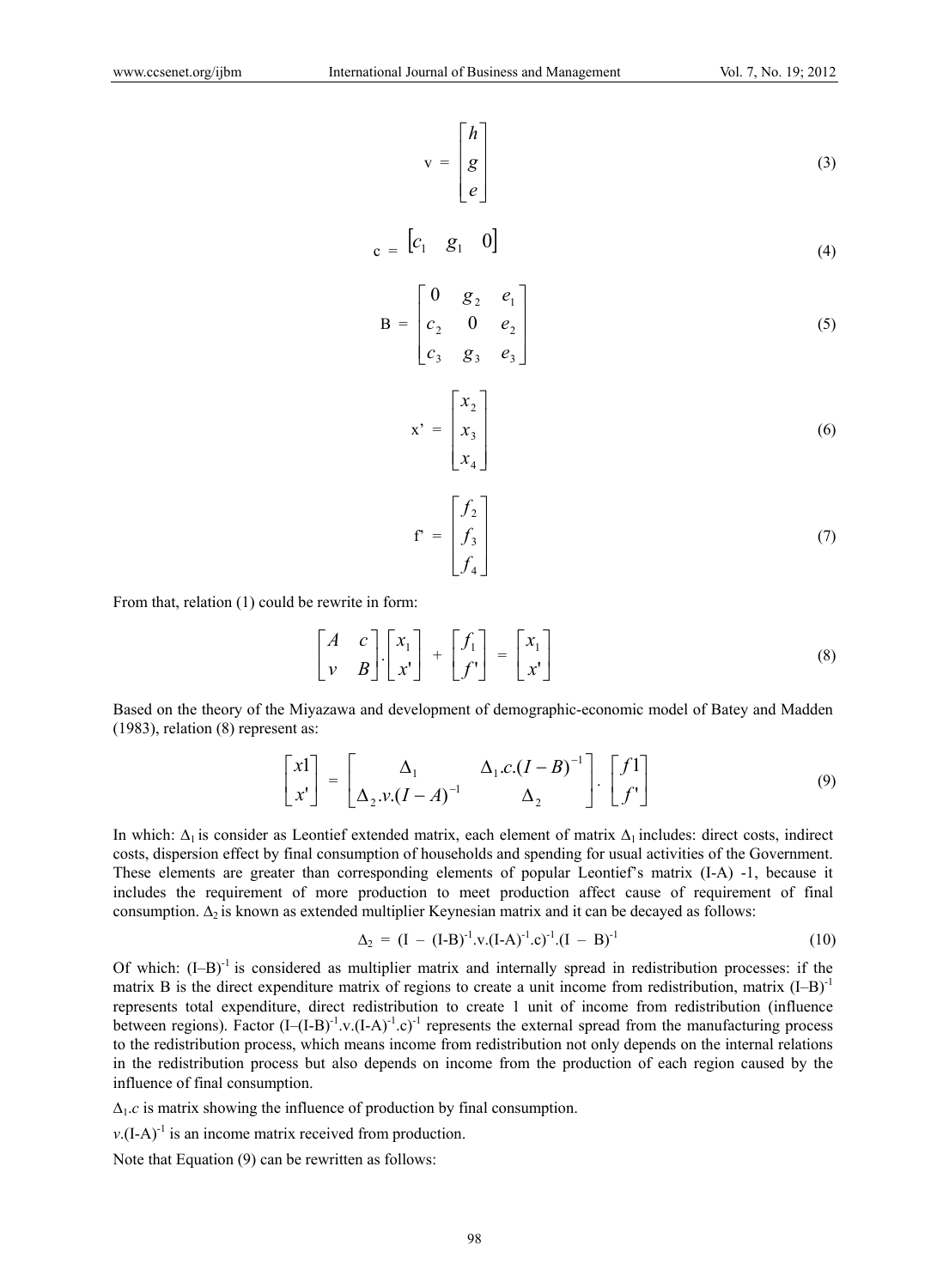$$
v = \begin{bmatrix} h \\ g \\ e \end{bmatrix}
$$
 (3)

$$
c = \begin{bmatrix} c_1 & g_1 & 0 \end{bmatrix} \tag{4}
$$

$$
B = \begin{bmatrix} 0 & g_2 & e_1 \\ c_2 & 0 & e_2 \\ c_3 & g_3 & e_3 \end{bmatrix}
$$
 (5)

$$
\mathbf{x'} = \begin{bmatrix} x_2 \\ x_3 \\ x_4 \end{bmatrix} \tag{6}
$$

$$
\mathbf{f}^* = \begin{bmatrix} f_2 \\ f_3 \\ f_4 \end{bmatrix} \tag{7}
$$

From that, relation (1) could be rewrite in form:

$$
\begin{bmatrix} A & c \\ v & B \end{bmatrix} \begin{bmatrix} x_1 \\ x' \end{bmatrix} + \begin{bmatrix} f_1 \\ f' \end{bmatrix} = \begin{bmatrix} x_1 \\ x' \end{bmatrix} \tag{8}
$$

Based on the theory of the Miyazawa and development of demographic-economic model of Batey and Madden (1983), relation (8) represent as:

$$
\begin{bmatrix} x1 \\ x' \end{bmatrix} = \begin{bmatrix} \Delta_1 & \Delta_1 c \cdot (I - B)^{-1} \\ \Delta_2 \cdot v \cdot (I - A)^{-1} & \Delta_2 \end{bmatrix} \cdot \begin{bmatrix} f1 \\ f' \end{bmatrix}
$$
(9)

In which:  $\Delta_1$  is consider as Leontief extended matrix, each element of matrix  $\Delta_1$  includes: direct costs, indirect costs, dispersion effect by final consumption of households and spending for usual activities of the Government. These elements are greater than corresponding elements of popular Leontief's matrix (I-A) -1, because it includes the requirement of more production to meet production affect cause of requirement of final consumption.  $\Delta_2$  is known as extended multiplier Keynesian matrix and it can be decayed as follows:

$$
\Delta_2 = (I - (I - B)^{-1} \cdot v \cdot (I - A)^{-1} \cdot c)^{-1} \cdot (I - B)^{-1}
$$
\n(10)

Of which:  $(I-B)^{-1}$  is considered as multiplier matrix and internally spread in redistribution processes: if the matrix B is the direct expenditure matrix of regions to create a unit income from redistribution, matrix  $(I-B)^{-1}$ represents total expenditure, direct redistribution to create 1 unit of income from redistribution (influence between regions). Factor  $(I-(I-B)^{-1} \cdot v.(I-A)^{-1} \cdot c)^{-1}$  represents the external spread from the manufacturing process to the redistribution process, which means income from redistribution not only depends on the internal relations in the redistribution process but also depends on income from the production of each region caused by the influence of final consumption.

 $\Delta_1.c$  is matrix showing the influence of production by final consumption.

 $v$ .(I-A)<sup>-1</sup> is an income matrix received from production.

Note that Equation (9) can be rewritten as follows: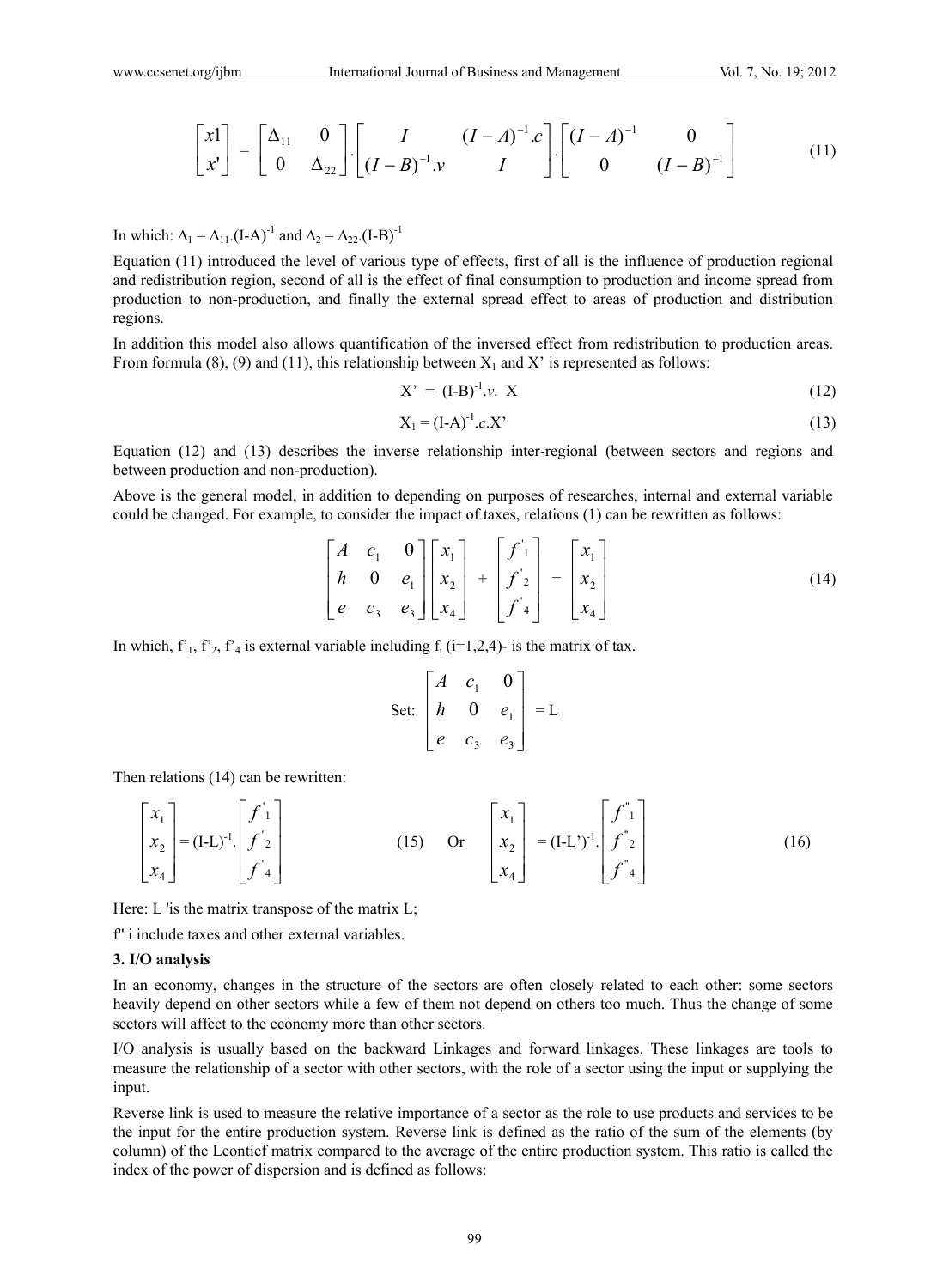$$
\begin{bmatrix} xI \\ x' \end{bmatrix} = \begin{bmatrix} \Delta_{11} & 0 \\ 0 & \Delta_{22} \end{bmatrix} \begin{bmatrix} I & (I-A)^{-1}c \\ (I-B)^{-1}y & I \end{bmatrix} \begin{bmatrix} (I-A)^{-1} & 0 \\ 0 & (I-B)^{-1} \end{bmatrix}
$$
(11)

In which:  $\Delta_1 = \Delta_{11}$ .(I-A)<sup>-1</sup> and  $\Delta_2 = \Delta_{22}$ .(I-B)<sup>-1</sup>

Equation (11) introduced the level of various type of effects, first of all is the influence of production regional and redistribution region, second of all is the effect of final consumption to production and income spread from production to non-production, and finally the external spread effect to areas of production and distribution regions.

In addition this model also allows quantification of the inversed effect from redistribution to production areas. From formula (8), (9) and (11), this relationship between  $X_1$  and X' is represented as follows:

$$
X' = (I-B)^{-1} \nu. \ X_1 \tag{12}
$$

$$
X_1 = (I - A)^{-1} . c. X' \tag{13}
$$

Equation (12) and (13) describes the inverse relationship inter-regional (between sectors and regions and between production and non-production).

Above is the general model, in addition to depending on purposes of researches, internal and external variable could be changed. For example, to consider the impact of taxes, relations (1) can be rewritten as follows:

$$
\begin{bmatrix} A & c_1 & 0 \\ h & 0 & e_1 \\ e & c_3 & e_3 \end{bmatrix} \begin{bmatrix} x_1 \\ x_2 \\ x_4 \end{bmatrix} + \begin{bmatrix} f'_1 \\ f'_2 \\ f'_4 \end{bmatrix} = \begin{bmatrix} x_1 \\ x_2 \\ x_4 \end{bmatrix} \tag{14}
$$

In which,  $f'_1$ ,  $f'_2$ ,  $f'_4$  is external variable including  $f_i$  (i=1,2,4)- is the matrix of tax.

Set: 
$$
\begin{bmatrix} A & c_1 & 0 \\ h & 0 & e_1 \\ e & c_3 & e_3 \end{bmatrix} = L
$$

Then relations (14) can be rewritten:

$$
\begin{bmatrix} x_1 \\ x_2 \\ x_4 \end{bmatrix} = (I-L)^{-1} \begin{bmatrix} f' \\ f' \\ f' \end{bmatrix}
$$
 (15) Or 
$$
\begin{bmatrix} x_1 \\ x_2 \\ x_4 \end{bmatrix} = (I-L)^{-1} \begin{bmatrix} f'' \\ f'' \\ f'' \end{bmatrix}
$$
 (16)

Here: L 'is the matrix transpose of the matrix  $L$ ;

f'' i include taxes and other external variables.

### **3. I/O analysis**

In an economy, changes in the structure of the sectors are often closely related to each other: some sectors heavily depend on other sectors while a few of them not depend on others too much. Thus the change of some sectors will affect to the economy more than other sectors.

I/O analysis is usually based on the backward Linkages and forward linkages. These linkages are tools to measure the relationship of a sector with other sectors, with the role of a sector using the input or supplying the input.

Reverse link is used to measure the relative importance of a sector as the role to use products and services to be the input for the entire production system. Reverse link is defined as the ratio of the sum of the elements (by column) of the Leontief matrix compared to the average of the entire production system. This ratio is called the index of the power of dispersion and is defined as follows: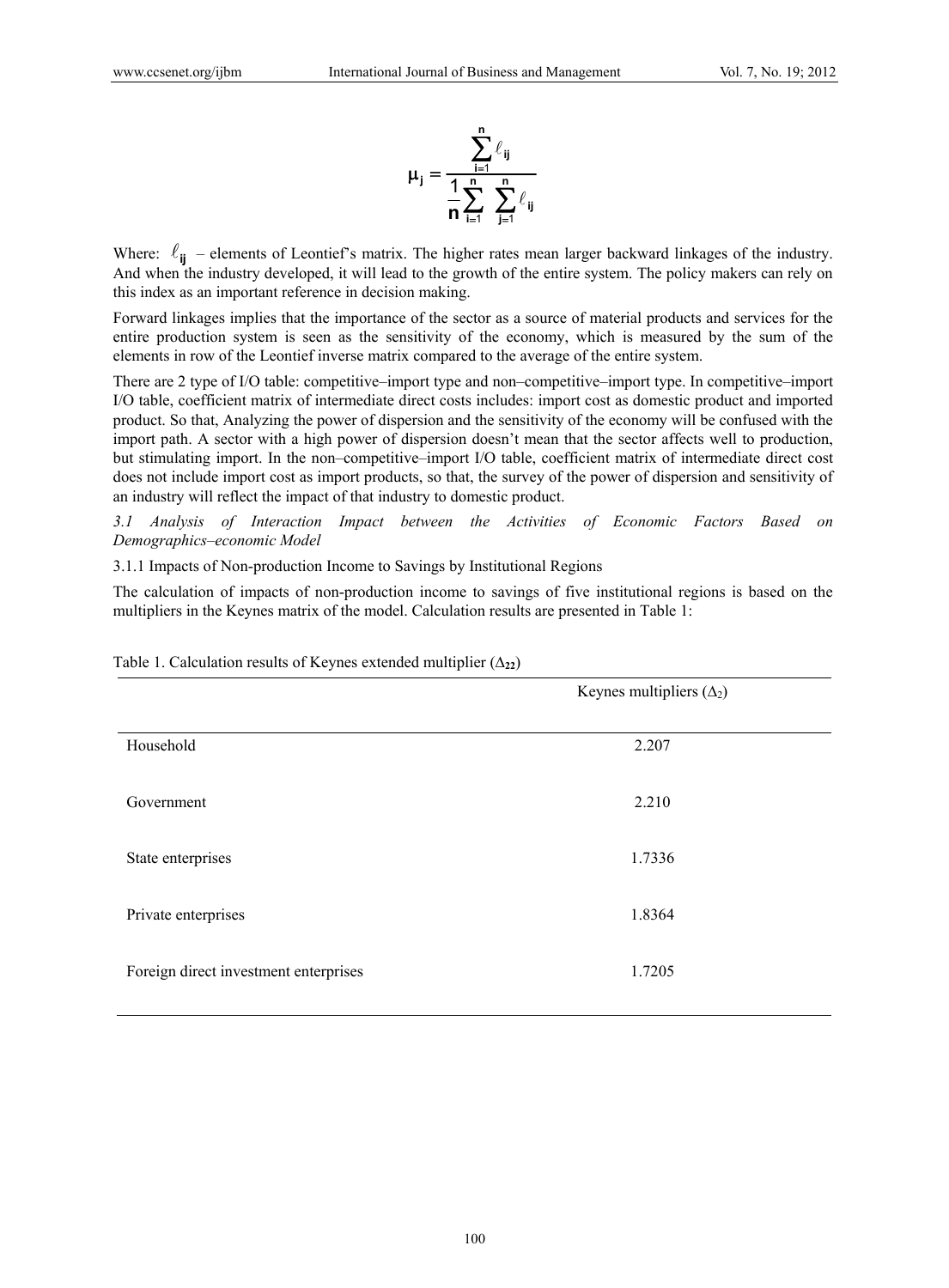

Where:  $\ell_{ii}$  – elements of Leontief's matrix. The higher rates mean larger backward linkages of the industry. And when the industry developed, it will lead to the growth of the entire system. The policy makers can rely on this index as an important reference in decision making.

Forward linkages implies that the importance of the sector as a source of material products and services for the entire production system is seen as the sensitivity of the economy, which is measured by the sum of the elements in row of the Leontief inverse matrix compared to the average of the entire system.

There are 2 type of I/O table: competitive–import type and non–competitive–import type. In competitive–import I/O table, coefficient matrix of intermediate direct costs includes: import cost as domestic product and imported product. So that, Analyzing the power of dispersion and the sensitivity of the economy will be confused with the import path. A sector with a high power of dispersion doesn't mean that the sector affects well to production, but stimulating import. In the non–competitive–import I/O table, coefficient matrix of intermediate direct cost does not include import cost as import products, so that, the survey of the power of dispersion and sensitivity of an industry will reflect the impact of that industry to domestic product.

*3.1 Analysis of Interaction Impact between the Activities of Economic Factors Based on Demographics–economic Model* 

3.1.1 Impacts of Non-production Income to Savings by Institutional Regions

The calculation of impacts of non-production income to savings of five institutional regions is based on the multipliers in the Keynes matrix of the model. Calculation results are presented in Table 1:

|                                       | Keynes multipliers $(\Delta_2)$ |
|---------------------------------------|---------------------------------|
| Household                             | 2.207                           |
| Government                            | 2.210                           |
| State enterprises                     | 1.7336                          |
| Private enterprises                   | 1.8364                          |
| Foreign direct investment enterprises | 1.7205                          |

Table 1. Calculation results of Keynes extended multiplier  $(\Delta_{22})$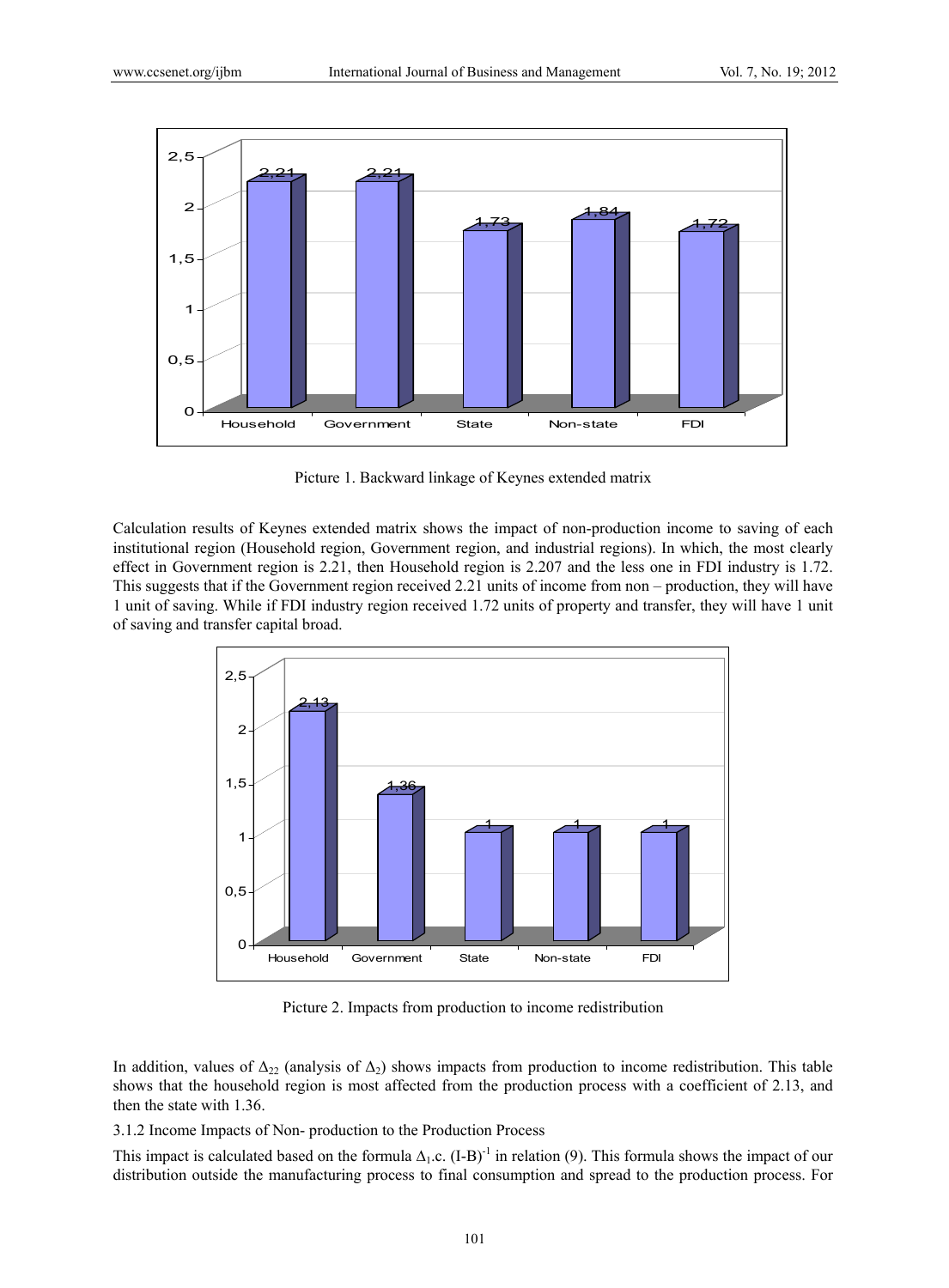

Picture 1. Backward linkage of Keynes extended matrix

Calculation results of Keynes extended matrix shows the impact of non-production income to saving of each institutional region (Household region, Government region, and industrial regions). In which, the most clearly effect in Government region is 2.21, then Household region is 2.207 and the less one in FDI industry is 1.72. This suggests that if the Government region received 2.21 units of income from non – production, they will have 1 unit of saving. While if FDI industry region received 1.72 units of property and transfer, they will have 1 unit of saving and transfer capital broad.



Picture 2. Impacts from production to income redistribution

In addition, values of  $\Delta_{22}$  (analysis of  $\Delta_2$ ) shows impacts from production to income redistribution. This table shows that the household region is most affected from the production process with a coefficient of 2.13, and then the state with 1.36.

3.1.2 Income Impacts of Non- production to the Production Process

This impact is calculated based on the formula  $\Delta_1$ .c. (I-B)<sup>-1</sup> in relation (9). This formula shows the impact of our distribution outside the manufacturing process to final consumption and spread to the production process. For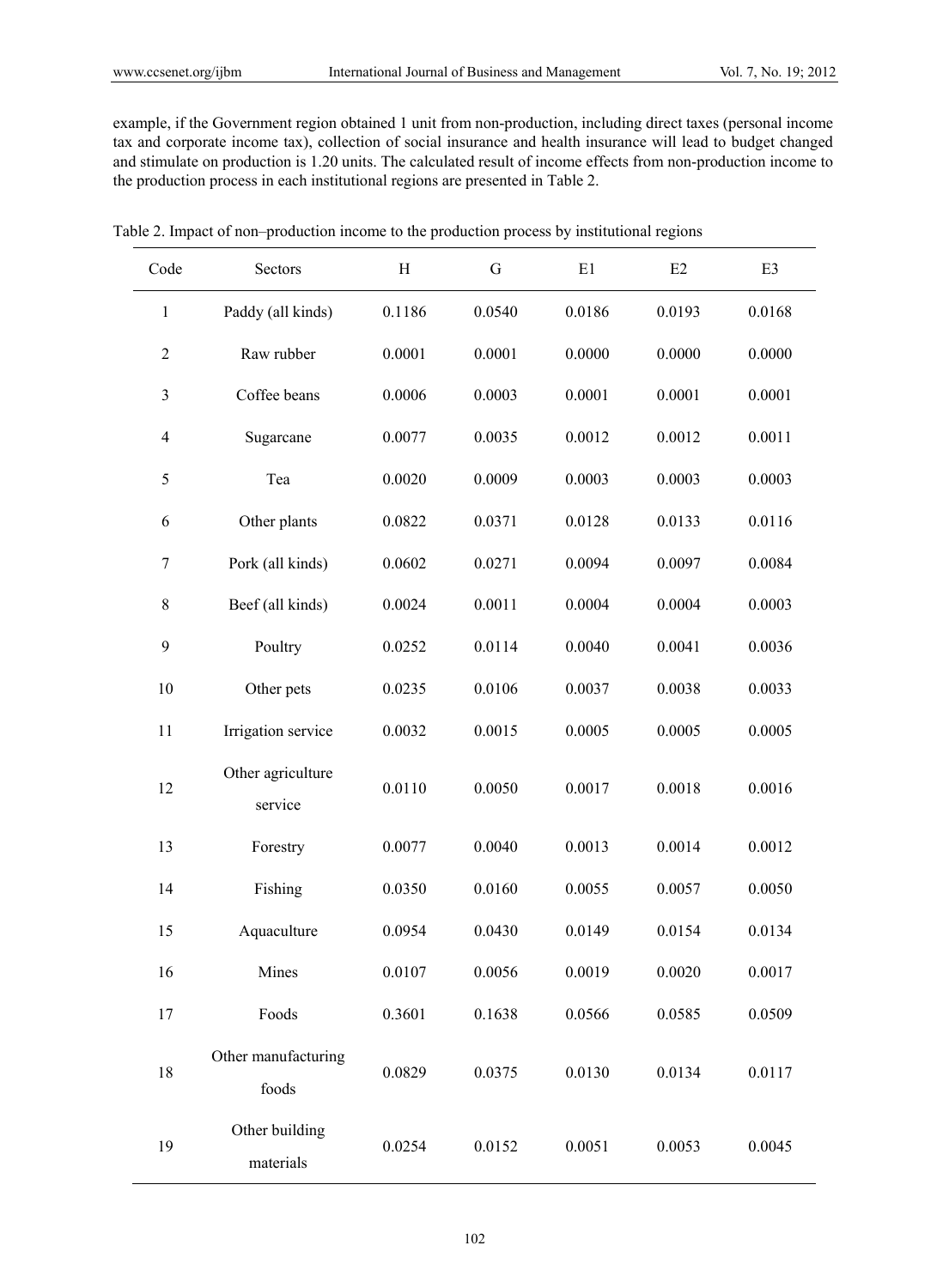example, if the Government region obtained 1 unit from non-production, including direct taxes (personal income tax and corporate income tax), collection of social insurance and health insurance will lead to budget changed and stimulate on production is 1.20 units. The calculated result of income effects from non-production income to the production process in each institutional regions are presented in Table 2.

| Code           | Sectors                      | H      | G      | E1     | E2     | E3     |
|----------------|------------------------------|--------|--------|--------|--------|--------|
| $\mathbf{1}$   | Paddy (all kinds)            | 0.1186 | 0.0540 | 0.0186 | 0.0193 | 0.0168 |
| $\mathbf{2}$   | Raw rubber                   | 0.0001 | 0.0001 | 0.0000 | 0.0000 | 0.0000 |
| $\mathfrak{Z}$ | Coffee beans                 | 0.0006 | 0.0003 | 0.0001 | 0.0001 | 0.0001 |
| $\overline{4}$ | Sugarcane                    | 0.0077 | 0.0035 | 0.0012 | 0.0012 | 0.0011 |
| 5              | Tea                          | 0.0020 | 0.0009 | 0.0003 | 0.0003 | 0.0003 |
| $\sqrt{6}$     | Other plants                 | 0.0822 | 0.0371 | 0.0128 | 0.0133 | 0.0116 |
| 7              | Pork (all kinds)             | 0.0602 | 0.0271 | 0.0094 | 0.0097 | 0.0084 |
| $\,$ $\,$      | Beef (all kinds)             | 0.0024 | 0.0011 | 0.0004 | 0.0004 | 0.0003 |
| $\mathbf{9}$   | Poultry                      | 0.0252 | 0.0114 | 0.0040 | 0.0041 | 0.0036 |
| 10             | Other pets                   | 0.0235 | 0.0106 | 0.0037 | 0.0038 | 0.0033 |
| 11             | Irrigation service           | 0.0032 | 0.0015 | 0.0005 | 0.0005 | 0.0005 |
| 12             | Other agriculture<br>service | 0.0110 | 0.0050 | 0.0017 | 0.0018 | 0.0016 |
| 13             | Forestry                     | 0.0077 | 0.0040 | 0.0013 | 0.0014 | 0.0012 |
| 14             | Fishing                      | 0.0350 | 0.0160 | 0.0055 | 0.0057 | 0.0050 |
| 15             | Aquaculture                  | 0.0954 | 0.0430 | 0.0149 | 0.0154 | 0.0134 |
| 16             | Mines                        | 0.0107 | 0.0056 | 0.0019 | 0.0020 | 0.0017 |
| 17             | Foods                        | 0.3601 | 0.1638 | 0.0566 | 0.0585 | 0.0509 |
| 18             | Other manufacturing<br>foods | 0.0829 | 0.0375 | 0.0130 | 0.0134 | 0.0117 |
| 19             | Other building<br>materials  | 0.0254 | 0.0152 | 0.0051 | 0.0053 | 0.0045 |

Table 2. Impact of non–production income to the production process by institutional regions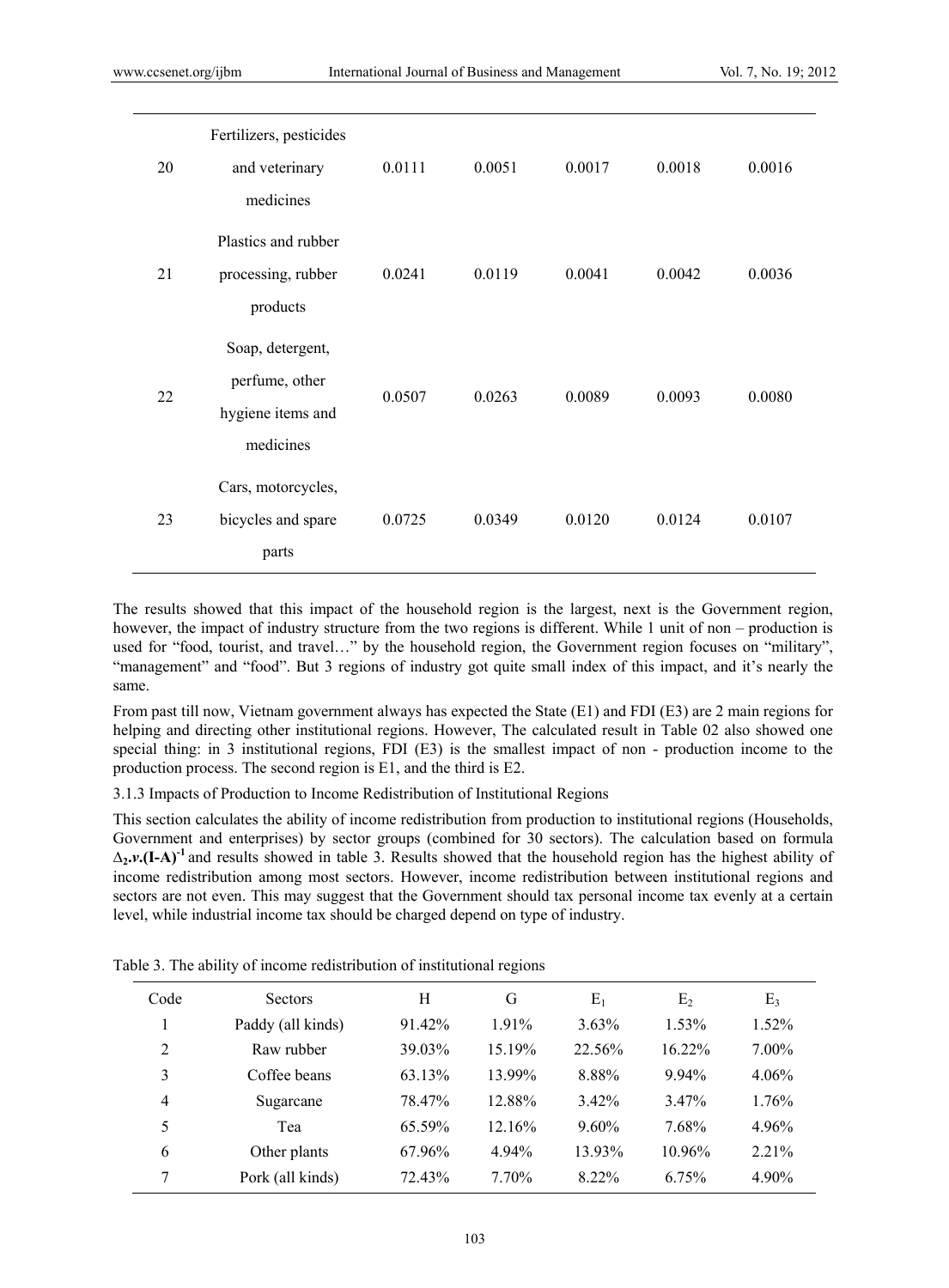| 20 | Fertilizers, pesticides<br>and veterinary<br>medicines               | 0.0111 | 0.0051 | 0.0017 | 0.0018 | 0.0016 |
|----|----------------------------------------------------------------------|--------|--------|--------|--------|--------|
| 21 | Plastics and rubber<br>processing, rubber<br>products                | 0.0241 | 0.0119 | 0.0041 | 0.0042 | 0.0036 |
| 22 | Soap, detergent,<br>perfume, other<br>hygiene items and<br>medicines | 0.0507 | 0.0263 | 0.0089 | 0.0093 | 0.0080 |
| 23 | Cars, motorcycles,<br>bicycles and spare<br>parts                    | 0.0725 | 0.0349 | 0.0120 | 0.0124 | 0.0107 |

The results showed that this impact of the household region is the largest, next is the Government region, however, the impact of industry structure from the two regions is different. While 1 unit of non – production is used for "food, tourist, and travel…" by the household region, the Government region focuses on "military", "management" and "food". But 3 regions of industry got quite small index of this impact, and it's nearly the same.

From past till now, Vietnam government always has expected the State (E1) and FDI (E3) are 2 main regions for helping and directing other institutional regions. However, The calculated result in Table 02 also showed one special thing: in 3 institutional regions, FDI (E3) is the smallest impact of non - production income to the production process. The second region is E1, and the third is E2.

3.1.3 Impacts of Production to Income Redistribution of Institutional Regions

This section calculates the ability of income redistribution from production to institutional regions (Households, Government and enterprises) by sector groups (combined for 30 sectors). The calculation based on formula ∆**2.***v***.(I-A)-1** and results showed in table 3. Results showed that the household region has the highest ability of income redistribution among most sectors. However, income redistribution between institutional regions and sectors are not even. This may suggest that the Government should tax personal income tax evenly at a certain level, while industrial income tax should be charged depend on type of industry.

| Code           | <b>Sectors</b>    | H      | G      | $\mathrm{E}_1$ | E <sub>2</sub> | E <sub>3</sub> |
|----------------|-------------------|--------|--------|----------------|----------------|----------------|
|                | Paddy (all kinds) | 91.42% | 1.91%  | $3.63\%$       | 1.53%          | 1.52%          |
| 2              | Raw rubber        | 39.03% | 15.19% | 22.56%         | $16.22\%$      | $7.00\%$       |
| 3              | Coffee beans      | 63.13% | 13.99% | 8.88%          | $9.94\%$       | 4.06%          |
| $\overline{4}$ | Sugarcane         | 78.47% | 12.88% | $3.42\%$       | 3.47%          | 1.76%          |
| 5              | Tea               | 65.59% | 12.16% | $9.60\%$       | 7.68%          | 4.96%          |
| 6              | Other plants      | 67.96% | 4.94%  | 13.93%         | 10.96%         | 2.21%          |
| 7              | Pork (all kinds)  | 72.43% | 7.70%  | 8.22%          | 6.75%          | 4.90%          |
|                |                   |        |        |                |                |                |

Table 3. The ability of income redistribution of institutional regions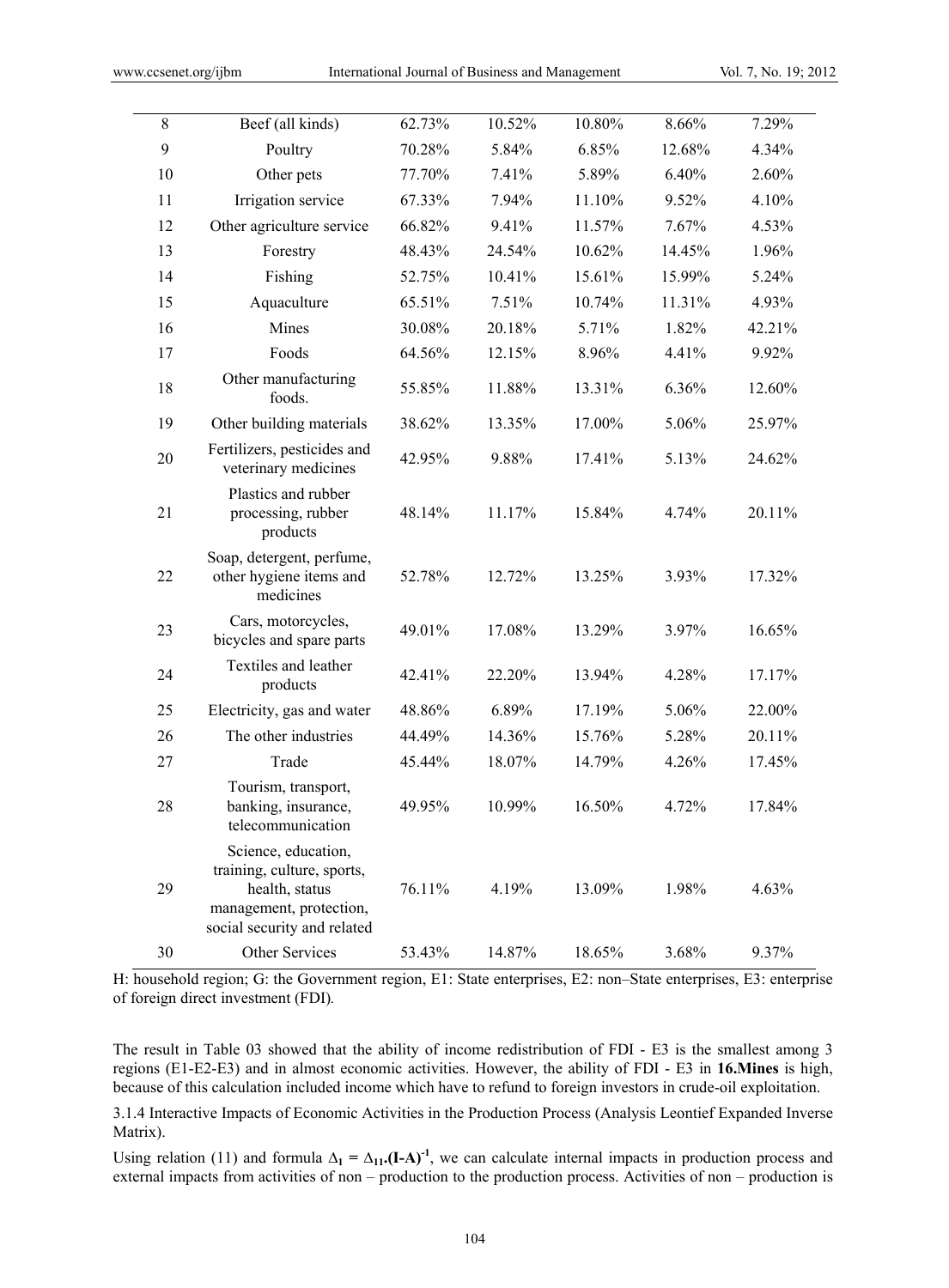| 8  | Beef (all kinds)                                                                                                              | 62.73% | 10.52% | 10.80% | 8.66%  | 7.29%  |
|----|-------------------------------------------------------------------------------------------------------------------------------|--------|--------|--------|--------|--------|
| 9  | Poultry                                                                                                                       | 70.28% | 5.84%  | 6.85%  | 12.68% | 4.34%  |
| 10 | Other pets                                                                                                                    | 77.70% | 7.41%  | 5.89%  | 6.40%  | 2.60%  |
| 11 | Irrigation service                                                                                                            | 67.33% | 7.94%  | 11.10% | 9.52%  | 4.10%  |
| 12 | Other agriculture service                                                                                                     | 66.82% | 9.41%  | 11.57% | 7.67%  | 4.53%  |
| 13 | Forestry                                                                                                                      | 48.43% | 24.54% | 10.62% | 14.45% | 1.96%  |
| 14 | Fishing                                                                                                                       | 52.75% | 10.41% | 15.61% | 15.99% | 5.24%  |
| 15 | Aquaculture                                                                                                                   | 65.51% | 7.51%  | 10.74% | 11.31% | 4.93%  |
| 16 | Mines                                                                                                                         | 30.08% | 20.18% | 5.71%  | 1.82%  | 42.21% |
| 17 | Foods                                                                                                                         | 64.56% | 12.15% | 8.96%  | 4.41%  | 9.92%  |
| 18 | Other manufacturing<br>foods.                                                                                                 | 55.85% | 11.88% | 13.31% | 6.36%  | 12.60% |
| 19 | Other building materials                                                                                                      | 38.62% | 13.35% | 17.00% | 5.06%  | 25.97% |
| 20 | Fertilizers, pesticides and<br>veterinary medicines                                                                           | 42.95% | 9.88%  | 17.41% | 5.13%  | 24.62% |
| 21 | Plastics and rubber<br>processing, rubber<br>products                                                                         | 48.14% | 11.17% | 15.84% | 4.74%  | 20.11% |
| 22 | Soap, detergent, perfume,<br>other hygiene items and<br>medicines                                                             | 52.78% | 12.72% | 13.25% | 3.93%  | 17.32% |
| 23 | Cars, motorcycles,<br>bicycles and spare parts                                                                                | 49.01% | 17.08% | 13.29% | 3.97%  | 16.65% |
| 24 | Textiles and leather<br>products                                                                                              | 42.41% | 22.20% | 13.94% | 4.28%  | 17.17% |
| 25 | Electricity, gas and water                                                                                                    | 48.86% | 6.89%  | 17.19% | 5.06%  | 22.00% |
| 26 | The other industries                                                                                                          | 44.49% | 14.36% | 15.76% | 5.28%  | 20.11% |
| 27 | Trade                                                                                                                         | 45.44% | 18.07% | 14.79% | 4.26%  | 17.45% |
| 28 | Tourism, transport,<br>banking, insurance,<br>telecommunication                                                               | 49.95% | 10.99% | 16.50% | 4.72%  | 17.84% |
| 29 | Science, education,<br>training, culture, sports,<br>health, status<br>management, protection,<br>social security and related | 76.11% | 4.19%  | 13.09% | 1.98%  | 4.63%  |
| 30 | Other Services                                                                                                                | 53.43% | 14.87% | 18.65% | 3.68%  | 9.37%  |

H: household region; G: the Government region, E1: State enterprises, E2: non–State enterprises, E3: enterprise of foreign direct investment (FDI)*.* 

The result in Table 03 showed that the ability of income redistribution of FDI - E3 is the smallest among 3 regions (E1-E2-E3) and in almost economic activities. However, the ability of FDI - E3 in **16.Mines** is high, because of this calculation included income which have to refund to foreign investors in crude-oil exploitation.

3.1.4 Interactive Impacts of Economic Activities in the Production Process (Analysis Leontief Expanded Inverse Matrix).

Using relation (11) and formula  $\Delta_1 = \Delta_{11}$ . (I-A)<sup>-1</sup>, we can calculate internal impacts in production process and external impacts from activities of non – production to the production process. Activities of non – production is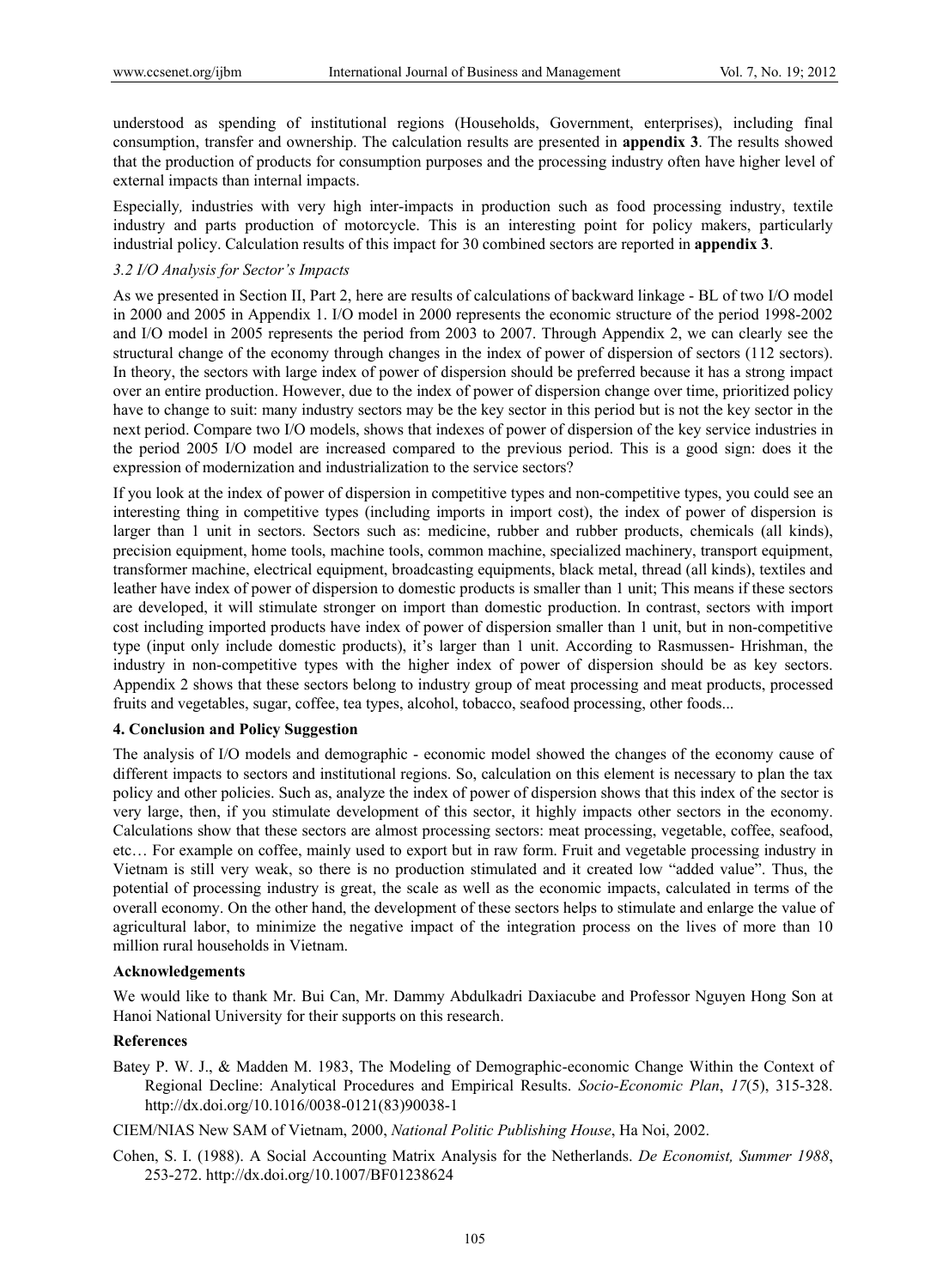understood as spending of institutional regions (Households, Government, enterprises), including final consumption, transfer and ownership. The calculation results are presented in **appendix 3**. The results showed that the production of products for consumption purposes and the processing industry often have higher level of external impacts than internal impacts.

Especially*,* industries with very high inter-impacts in production such as food processing industry, textile industry and parts production of motorcycle. This is an interesting point for policy makers, particularly industrial policy. Calculation results of this impact for 30 combined sectors are reported in **appendix 3**.

# *3.2 I/O Analysis for Sector's Impacts*

As we presented in Section II, Part 2, here are results of calculations of backward linkage - BL of two I/O model in 2000 and 2005 in Appendix 1. I/O model in 2000 represents the economic structure of the period 1998-2002 and I/O model in 2005 represents the period from 2003 to 2007. Through Appendix 2, we can clearly see the structural change of the economy through changes in the index of power of dispersion of sectors (112 sectors). In theory, the sectors with large index of power of dispersion should be preferred because it has a strong impact over an entire production. However, due to the index of power of dispersion change over time, prioritized policy have to change to suit: many industry sectors may be the key sector in this period but is not the key sector in the next period. Compare two I/O models, shows that indexes of power of dispersion of the key service industries in the period 2005 I/O model are increased compared to the previous period. This is a good sign: does it the expression of modernization and industrialization to the service sectors?

If you look at the index of power of dispersion in competitive types and non-competitive types, you could see an interesting thing in competitive types (including imports in import cost), the index of power of dispersion is larger than 1 unit in sectors. Sectors such as: medicine, rubber and rubber products, chemicals (all kinds), precision equipment, home tools, machine tools, common machine, specialized machinery, transport equipment, transformer machine, electrical equipment, broadcasting equipments, black metal, thread (all kinds), textiles and leather have index of power of dispersion to domestic products is smaller than 1 unit; This means if these sectors are developed, it will stimulate stronger on import than domestic production. In contrast, sectors with import cost including imported products have index of power of dispersion smaller than 1 unit, but in non-competitive type (input only include domestic products), it's larger than 1 unit. According to Rasmussen- Hrishman, the industry in non-competitive types with the higher index of power of dispersion should be as key sectors. Appendix 2 shows that these sectors belong to industry group of meat processing and meat products, processed fruits and vegetables, sugar, coffee, tea types, alcohol, tobacco, seafood processing, other foods...

## **4. Conclusion and Policy Suggestion**

The analysis of I/O models and demographic - economic model showed the changes of the economy cause of different impacts to sectors and institutional regions. So, calculation on this element is necessary to plan the tax policy and other policies. Such as, analyze the index of power of dispersion shows that this index of the sector is very large, then, if you stimulate development of this sector, it highly impacts other sectors in the economy. Calculations show that these sectors are almost processing sectors: meat processing, vegetable, coffee, seafood, etc… For example on coffee, mainly used to export but in raw form. Fruit and vegetable processing industry in Vietnam is still very weak, so there is no production stimulated and it created low "added value". Thus, the potential of processing industry is great, the scale as well as the economic impacts, calculated in terms of the overall economy. On the other hand, the development of these sectors helps to stimulate and enlarge the value of agricultural labor, to minimize the negative impact of the integration process on the lives of more than 10 million rural households in Vietnam.

## **Acknowledgements**

We would like to thank Mr. Bui Can, Mr. Dammy Abdulkadri Daxiacube and Professor Nguyen Hong Son at Hanoi National University for their supports on this research.

#### **References**

Batey P. W. J., & Madden M. 1983, The Modeling of Demographic-economic Change Within the Context of Regional Decline: Analytical Procedures and Empirical Results. *Socio-Economic Plan*, *17*(5), 315-328. http://dx.doi.org/10.1016/0038-0121(83)90038-1

CIEM/NIAS New SAM of Vietnam, 2000, *National Politic Publishing House*, Ha Noi, 2002.

Cohen, S. I. (1988). A Social Accounting Matrix Analysis for the Netherlands. *De Economist, Summer 1988*, 253-272. http://dx.doi.org/10.1007/BF01238624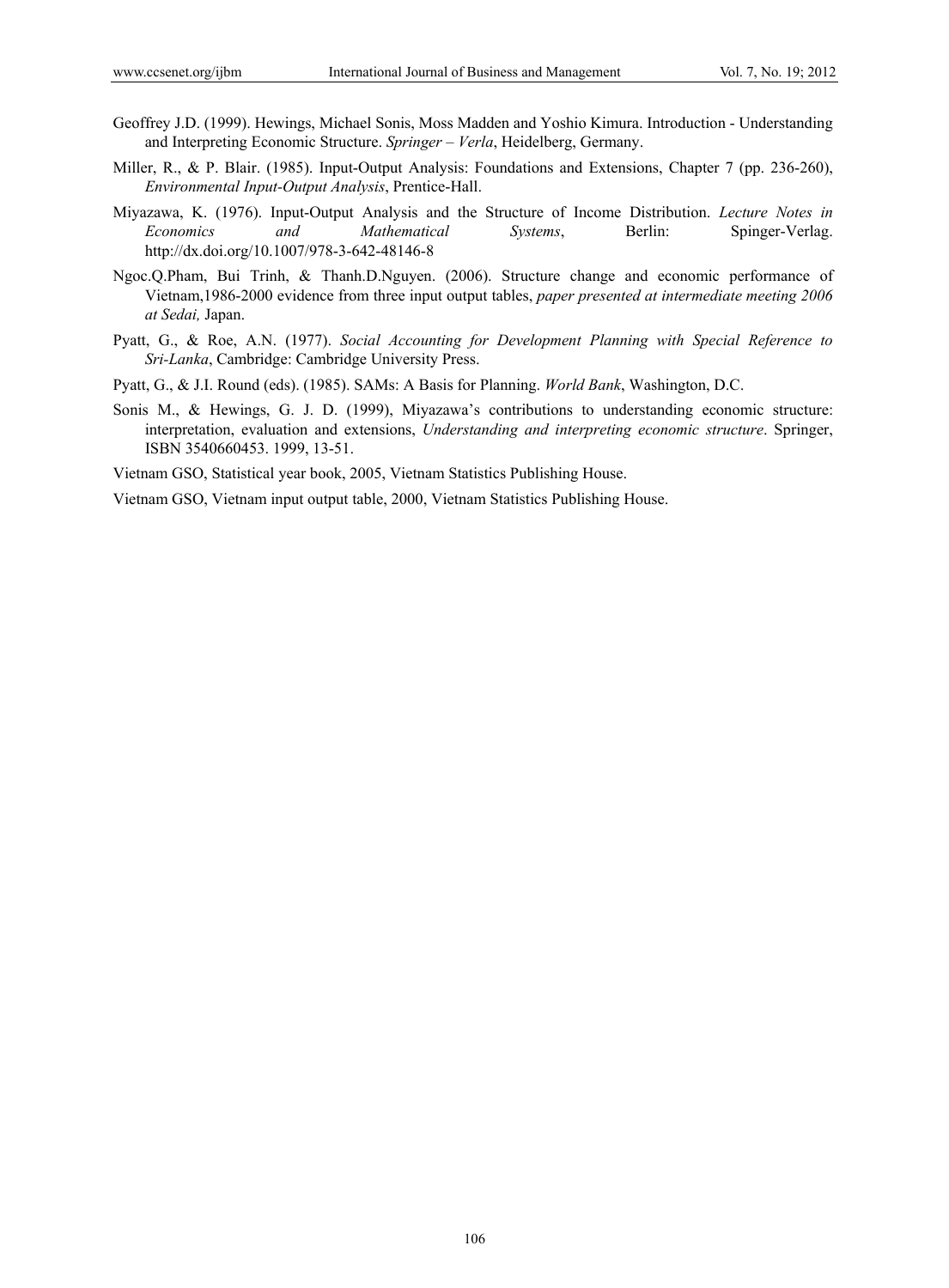- Geoffrey J.D. (1999). Hewings, Michael Sonis, Moss Madden and Yoshio Kimura. Introduction Understanding and Interpreting Economic Structure. *Springer – Verla*, Heidelberg, Germany.
- Miller, R., & P. Blair. (1985). Input-Output Analysis: Foundations and Extensions, Chapter 7 (pp. 236-260), *Environmental Input-Output Analysis*, Prentice-Hall.
- Miyazawa, K. (1976). Input-Output Analysis and the Structure of Income Distribution. *Lecture Notes in Economics and Mathematical Systems*, Berlin: Spinger-Verlag. http://dx.doi.org/10.1007/978-3-642-48146-8
- Ngoc.Q.Pham, Bui Trinh, & Thanh.D.Nguyen. (2006). Structure change and economic performance of Vietnam,1986-2000 evidence from three input output tables, *paper presented at intermediate meeting 2006 at Sedai,* Japan.
- Pyatt, G., & Roe, A.N. (1977). *Social Accounting for Development Planning with Special Reference to Sri-Lanka*, Cambridge: Cambridge University Press.
- Pyatt, G., & J.I. Round (eds). (1985). SAMs: A Basis for Planning. *World Bank*, Washington, D.C.
- Sonis M., & Hewings, G. J. D. (1999), Miyazawa's contributions to understanding economic structure: interpretation, evaluation and extensions, *Understanding and interpreting economic structure*. Springer, ISBN 3540660453. 1999, 13-51.

Vietnam GSO, Statistical year book, 2005, Vietnam Statistics Publishing House.

Vietnam GSO, Vietnam input output table, 2000, Vietnam Statistics Publishing House.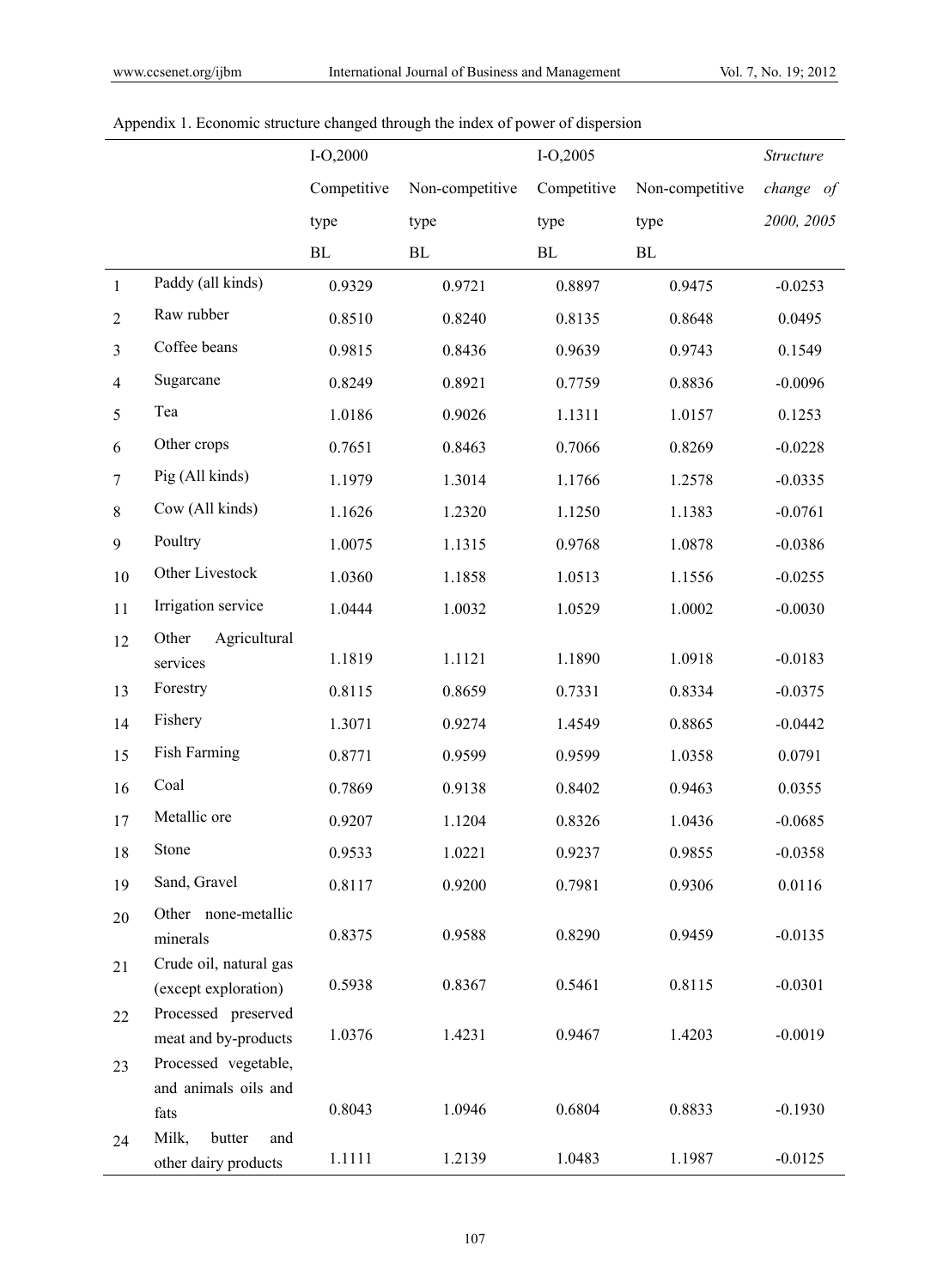|                |                                             | $I-O,2000$  |                 | $I-O, 2005$ |                 | Structure  |
|----------------|---------------------------------------------|-------------|-----------------|-------------|-----------------|------------|
|                |                                             | Competitive | Non-competitive | Competitive | Non-competitive | change of  |
|                |                                             | type        | type            | type        | type            | 2000, 2005 |
|                |                                             | $\rm BL$    | ${\rm BL}$      | $\rm BL$    | $\rm BL$        |            |
| $\mathbf{1}$   | Paddy (all kinds)                           | 0.9329      | 0.9721          | 0.8897      | 0.9475          | $-0.0253$  |
| $\overline{2}$ | Raw rubber                                  | 0.8510      | 0.8240          | 0.8135      | 0.8648          | 0.0495     |
| 3              | Coffee beans                                | 0.9815      | 0.8436          | 0.9639      | 0.9743          | 0.1549     |
| $\overline{4}$ | Sugarcane                                   | 0.8249      | 0.8921          | 0.7759      | 0.8836          | $-0.0096$  |
| 5              | Tea                                         | 1.0186      | 0.9026          | 1.1311      | 1.0157          | 0.1253     |
| 6              | Other crops                                 | 0.7651      | 0.8463          | 0.7066      | 0.8269          | $-0.0228$  |
| $\overline{7}$ | Pig (All kinds)                             | 1.1979      | 1.3014          | 1.1766      | 1.2578          | $-0.0335$  |
| $\,$ 8 $\,$    | Cow (All kinds)                             | 1.1626      | 1.2320          | 1.1250      | 1.1383          | $-0.0761$  |
| 9              | Poultry                                     | 1.0075      | 1.1315          | 0.9768      | 1.0878          | $-0.0386$  |
| 10             | Other Livestock                             | 1.0360      | 1.1858          | 1.0513      | 1.1556          | $-0.0255$  |
| 11             | Irrigation service                          | 1.0444      | 1.0032          | 1.0529      | 1.0002          | $-0.0030$  |
| 12             | Agricultural<br>Other                       |             |                 |             |                 |            |
|                | services                                    | 1.1819      | 1.1121          | 1.1890      | 1.0918          | $-0.0183$  |
| 13             | Forestry                                    | 0.8115      | 0.8659          | 0.7331      | 0.8334          | $-0.0375$  |
| 14             | Fishery                                     | 1.3071      | 0.9274          | 1.4549      | 0.8865          | $-0.0442$  |
| 15             | Fish Farming                                | 0.8771      | 0.9599          | 0.9599      | 1.0358          | 0.0791     |
| 16             | Coal                                        | 0.7869      | 0.9138          | 0.8402      | 0.9463          | 0.0355     |
| 17             | Metallic ore                                | 0.9207      | 1.1204          | 0.8326      | 1.0436          | $-0.0685$  |
| 18             | Stone                                       | 0.9533      | 1.0221          | 0.9237      | 0.9855          | $-0.0358$  |
| 19             | Sand, Gravel                                | 0.8117      | 0.9200          | 0.7981      | 0.9306          | 0.0116     |
| 20             | Other none-metallic                         |             |                 |             |                 |            |
|                | minerals                                    | 0.8375      | 0.9588          | 0.8290      | 0.9459          | $-0.0135$  |
| 21             | Crude oil, natural gas                      | 0.5938      | 0.8367          | 0.5461      | 0.8115          | $-0.0301$  |
|                | (except exploration)<br>Processed preserved |             |                 |             |                 |            |
| 22             | meat and by-products                        | 1.0376      | 1.4231          | 0.9467      | 1.4203          | $-0.0019$  |
| 23             | Processed vegetable,                        |             |                 |             |                 |            |
|                | and animals oils and                        |             |                 |             |                 |            |
|                | fats                                        | 0.8043      | 1.0946          | 0.6804      | 0.8833          | $-0.1930$  |
| 24             | Milk,<br>butter<br>and                      | 1.1111      | 1.2139          | 1.0483      | 1.1987          | $-0.0125$  |
|                | other dairy products                        |             |                 |             |                 |            |

# Appendix 1. Economic structure changed through the index of power of dispersion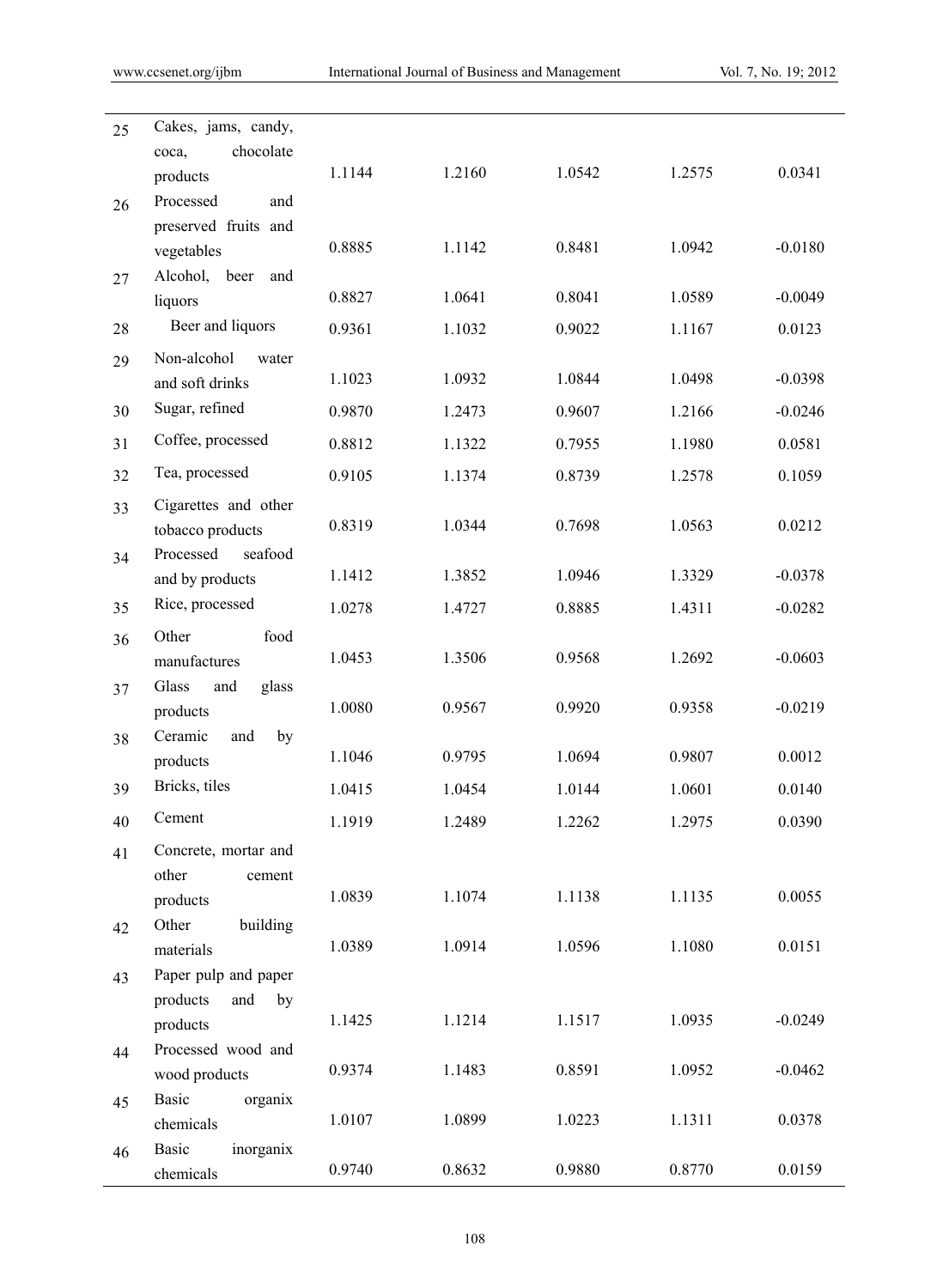| 25 | Cakes, jams, candy,                    |        |        |        |        |           |
|----|----------------------------------------|--------|--------|--------|--------|-----------|
|    | chocolate<br>coca,<br>products         | 1.1144 | 1.2160 | 1.0542 | 1.2575 | 0.0341    |
| 26 | Processed<br>and                       |        |        |        |        |           |
|    | preserved fruits and                   |        |        |        |        |           |
|    | vegetables                             | 0.8885 | 1.1142 | 0.8481 | 1.0942 | $-0.0180$ |
| 27 | Alcohol, beer<br>and                   |        |        |        |        |           |
|    | liquors                                | 0.8827 | 1.0641 | 0.8041 | 1.0589 | $-0.0049$ |
| 28 | Beer and liquors                       | 0.9361 | 1.1032 | 0.9022 | 1.1167 | 0.0123    |
| 29 | Non-alcohol<br>water                   |        |        |        |        |           |
|    | and soft drinks                        | 1.1023 | 1.0932 | 1.0844 | 1.0498 | $-0.0398$ |
| 30 | Sugar, refined                         | 0.9870 | 1.2473 | 0.9607 | 1.2166 | $-0.0246$ |
| 31 | Coffee, processed                      | 0.8812 | 1.1322 | 0.7955 | 1.1980 | 0.0581    |
| 32 | Tea, processed                         | 0.9105 | 1.1374 | 0.8739 | 1.2578 | 0.1059    |
| 33 | Cigarettes and other                   |        |        |        |        |           |
|    | tobacco products                       | 0.8319 | 1.0344 | 0.7698 | 1.0563 | 0.0212    |
| 34 | seafood<br>Processed                   | 1.1412 | 1.3852 | 1.0946 | 1.3329 | $-0.0378$ |
|    | and by products<br>Rice, processed     |        |        |        |        |           |
| 35 |                                        | 1.0278 | 1.4727 | 0.8885 | 1.4311 | $-0.0282$ |
| 36 | Other<br>food<br>manufactures          | 1.0453 | 1.3506 | 0.9568 | 1.2692 | $-0.0603$ |
| 37 | Glass<br>and<br>glass                  |        |        |        |        |           |
|    | products                               | 1.0080 | 0.9567 | 0.9920 | 0.9358 | $-0.0219$ |
| 38 | Ceramic<br>by<br>and                   |        |        |        |        |           |
|    | products                               | 1.1046 | 0.9795 | 1.0694 | 0.9807 | 0.0012    |
| 39 | Bricks, tiles                          | 1.0415 | 1.0454 | 1.0144 | 1.0601 | 0.0140    |
| 40 | Cement                                 | 1.1919 | 1.2489 | 1.2262 | 1.2975 | 0.0390    |
| 41 | Concrete, mortar and                   |        |        |        |        |           |
|    | other<br>cement                        |        |        |        |        |           |
|    | products                               | 1.0839 | 1.1074 | 1.1138 | 1.1135 | 0.0055    |
| 42 | Other<br>building<br>materials         | 1.0389 | 1.0914 | 1.0596 | 1.1080 | 0.0151    |
| 43 | Paper pulp and paper                   |        |        |        |        |           |
|    | products<br>and<br>by                  |        |        |        |        |           |
|    | products                               | 1.1425 | 1.1214 | 1.1517 | 1.0935 | $-0.0249$ |
| 44 | Processed wood and                     |        |        |        |        |           |
|    | wood products                          | 0.9374 | 1.1483 | 0.8591 | 1.0952 | $-0.0462$ |
| 45 | <b>Basic</b><br>organix                |        |        |        |        |           |
|    | chemicals                              | 1.0107 | 1.0899 | 1.0223 | 1.1311 | 0.0378    |
| 46 | <b>Basic</b><br>inorganix<br>chemicals | 0.9740 | 0.8632 | 0.9880 | 0.8770 | 0.0159    |
|    |                                        |        |        |        |        |           |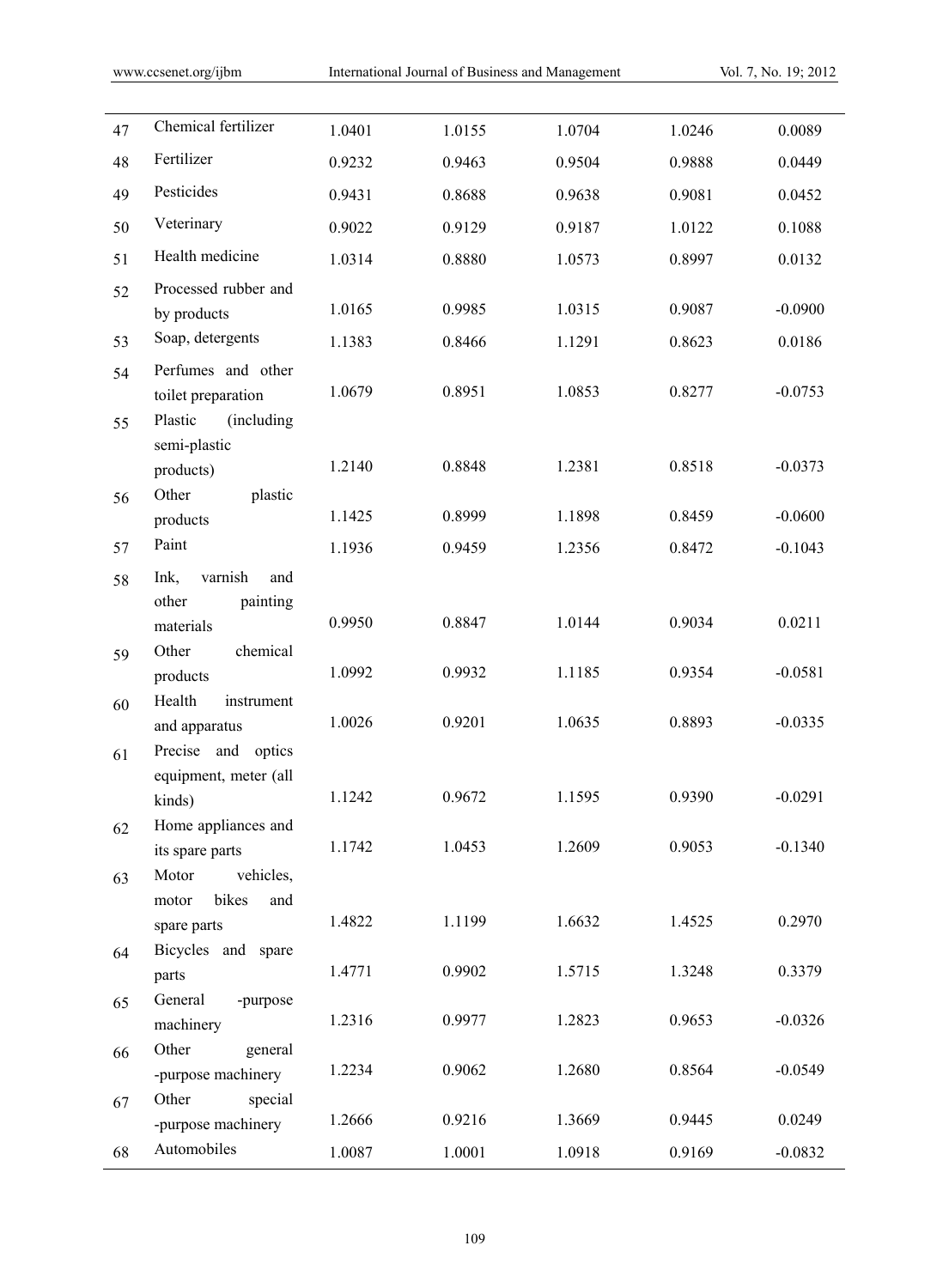| 47 | Chemical fertilizer                    | 1.0401 | 1.0155 | 1.0704 | 1.0246 | 0.0089    |
|----|----------------------------------------|--------|--------|--------|--------|-----------|
| 48 | Fertilizer                             | 0.9232 | 0.9463 | 0.9504 | 0.9888 | 0.0449    |
| 49 | Pesticides                             | 0.9431 | 0.8688 | 0.9638 | 0.9081 | 0.0452    |
| 50 | Veterinary                             | 0.9022 | 0.9129 | 0.9187 | 1.0122 | 0.1088    |
| 51 | Health medicine                        | 1.0314 | 0.8880 | 1.0573 | 0.8997 | 0.0132    |
| 52 | Processed rubber and                   |        |        |        |        |           |
|    | by products                            | 1.0165 | 0.9985 | 1.0315 | 0.9087 | $-0.0900$ |
| 53 | Soap, detergents                       | 1.1383 | 0.8466 | 1.1291 | 0.8623 | 0.0186    |
| 54 | Perfumes and other                     |        |        |        |        |           |
|    | toilet preparation                     | 1.0679 | 0.8951 | 1.0853 | 0.8277 | $-0.0753$ |
| 55 | Plastic<br>(including)<br>semi-plastic |        |        |        |        |           |
|    | products)                              | 1.2140 | 0.8848 | 1.2381 | 0.8518 | $-0.0373$ |
| 56 | Other<br>plastic                       |        |        |        |        |           |
|    | products                               | 1.1425 | 0.8999 | 1.1898 | 0.8459 | $-0.0600$ |
| 57 | Paint                                  | 1.1936 | 0.9459 | 1.2356 | 0.8472 | $-0.1043$ |
| 58 | varnish<br>Ink,<br>and                 |        |        |        |        |           |
|    | other<br>painting                      | 0.9950 | 0.8847 | 1.0144 | 0.9034 | 0.0211    |
|    | materials<br>chemical<br>Other         |        |        |        |        |           |
| 59 | products                               | 1.0992 | 0.9932 | 1.1185 | 0.9354 | $-0.0581$ |
| 60 | Health<br>instrument                   |        |        |        |        |           |
|    | and apparatus                          | 1.0026 | 0.9201 | 1.0635 | 0.8893 | $-0.0335$ |
| 61 | Precise and optics                     |        |        |        |        |           |
|    | equipment, meter (all<br>kinds)        | 1.1242 | 0.9672 | 1.1595 | 0.9390 | $-0.0291$ |
| 62 | Home appliances and                    |        |        |        |        |           |
|    | its spare parts                        | 1.1742 | 1.0453 | 1.2609 | 0.9053 | $-0.1340$ |
| 63 | vehicles,<br>Motor                     |        |        |        |        |           |
|    | bikes<br>motor<br>and                  | 1.4822 | 1.1199 | 1.6632 | 1.4525 | 0.2970    |
|    | spare parts<br>Bicycles and spare      |        |        |        |        |           |
| 64 | parts                                  | 1.4771 | 0.9902 | 1.5715 | 1.3248 | 0.3379    |
| 65 | General<br>-purpose                    |        |        |        |        |           |
|    | machinery                              | 1.2316 | 0.9977 | 1.2823 | 0.9653 | $-0.0326$ |
| 66 | Other<br>general                       | 1.2234 | 0.9062 | 1.2680 | 0.8564 | $-0.0549$ |
|    | -purpose machinery<br>special<br>Other |        |        |        |        |           |
| 67 | -purpose machinery                     | 1.2666 | 0.9216 | 1.3669 | 0.9445 | 0.0249    |
| 68 | Automobiles                            | 1.0087 | 1.0001 | 1.0918 | 0.9169 | $-0.0832$ |
|    |                                        |        |        |        |        |           |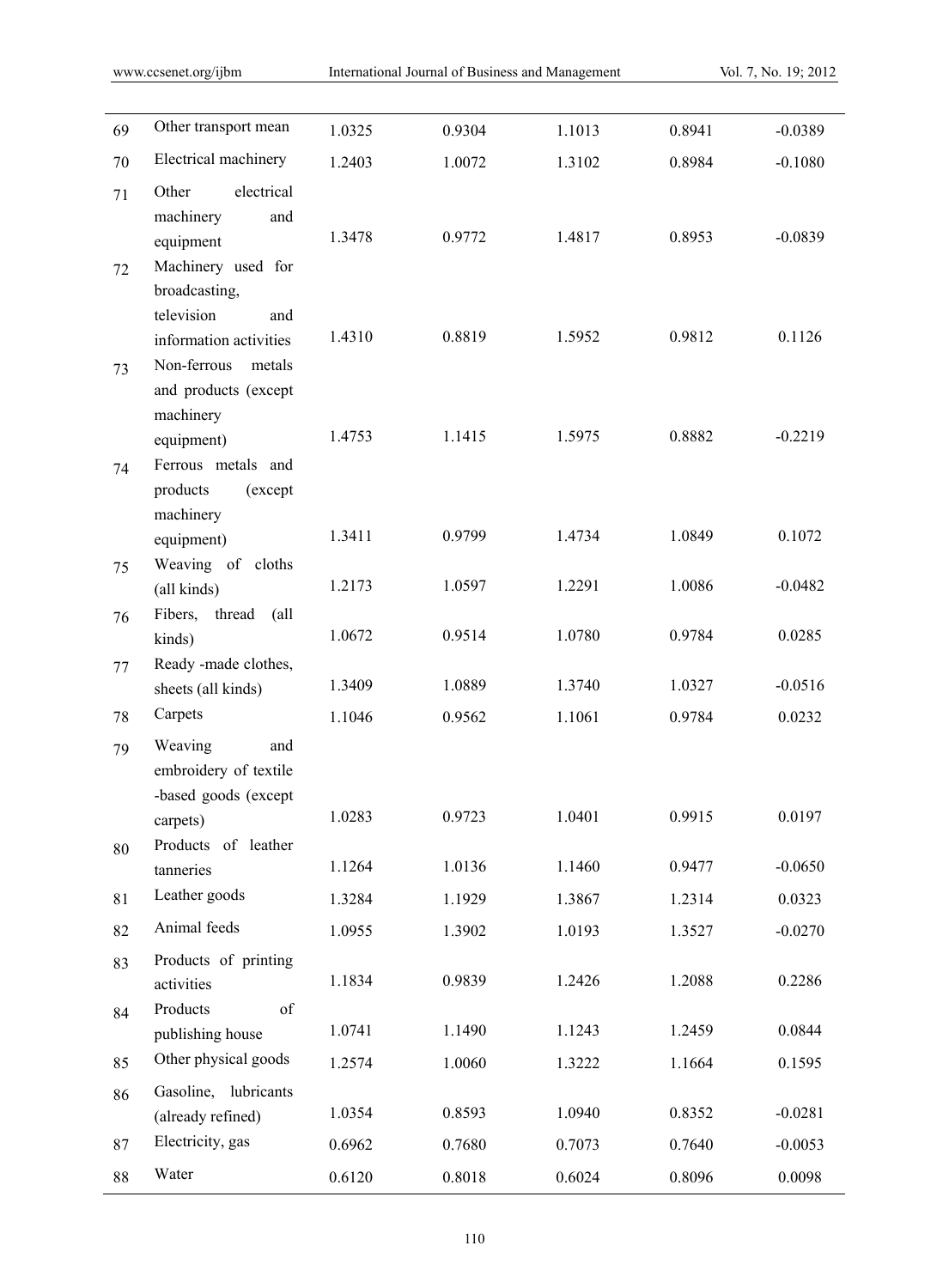| 69 | Other transport mean                        | 1.0325 | 0.9304 | 1.1013 | 0.8941 | $-0.0389$ |
|----|---------------------------------------------|--------|--------|--------|--------|-----------|
| 70 | Electrical machinery                        | 1.2403 | 1.0072 | 1.3102 | 0.8984 | $-0.1080$ |
| 71 | electrical<br>Other                         |        |        |        |        |           |
|    | machinery<br>and                            |        |        |        |        |           |
|    | equipment                                   | 1.3478 | 0.9772 | 1.4817 | 0.8953 | $-0.0839$ |
| 72 | Machinery used for                          |        |        |        |        |           |
|    | broadcasting,                               |        |        |        |        |           |
|    | television<br>and<br>information activities | 1.4310 | 0.8819 | 1.5952 | 0.9812 | 0.1126    |
|    | Non-ferrous<br>metals                       |        |        |        |        |           |
| 73 | and products (except                        |        |        |        |        |           |
|    | machinery                                   |        |        |        |        |           |
|    | equipment)                                  | 1.4753 | 1.1415 | 1.5975 | 0.8882 | $-0.2219$ |
| 74 | Ferrous metals and                          |        |        |        |        |           |
|    | products<br>(except                         |        |        |        |        |           |
|    | machinery                                   | 1.3411 | 0.9799 | 1.4734 | 1.0849 | 0.1072    |
|    | equipment)                                  |        |        |        |        |           |
| 75 | Weaving of cloths<br>(all kinds)            | 1.2173 | 1.0597 | 1.2291 | 1.0086 | $-0.0482$ |
| 76 | Fibers, thread<br>$\alpha$ ll               |        |        |        |        |           |
|    | kinds)                                      | 1.0672 | 0.9514 | 1.0780 | 0.9784 | 0.0285    |
| 77 | Ready -made clothes,                        |        |        |        |        |           |
|    | sheets (all kinds)                          | 1.3409 | 1.0889 | 1.3740 | 1.0327 | $-0.0516$ |
| 78 | Carpets                                     | 1.1046 | 0.9562 | 1.1061 | 0.9784 | 0.0232    |
| 79 | Weaving<br>and                              |        |        |        |        |           |
|    | embroidery of textile                       |        |        |        |        |           |
|    | -based goods (except                        | 1.0283 | 0.9723 | 1.0401 | 0.9915 | 0.0197    |
|    | carpets)<br>Products of leather             |        |        |        |        |           |
| 80 | tanneries                                   | 1.1264 | 1.0136 | 1.1460 | 0.9477 | $-0.0650$ |
| 81 | Leather goods                               | 1.3284 | 1.1929 | 1.3867 | 1.2314 | 0.0323    |
| 82 | Animal feeds                                | 1.0955 | 1.3902 | 1.0193 | 1.3527 | $-0.0270$ |
| 83 | Products of printing                        |        |        |        |        |           |
|    | activities                                  | 1.1834 | 0.9839 | 1.2426 | 1.2088 | 0.2286    |
| 84 | Products<br>of                              |        |        |        |        |           |
|    | publishing house                            | 1.0741 | 1.1490 | 1.1243 | 1.2459 | 0.0844    |
| 85 | Other physical goods                        | 1.2574 | 1.0060 | 1.3222 | 1.1664 | 0.1595    |
| 86 | Gasoline, lubricants                        |        |        |        |        |           |
|    | (already refined)                           | 1.0354 | 0.8593 | 1.0940 | 0.8352 | $-0.0281$ |
| 87 | Electricity, gas                            | 0.6962 | 0.7680 | 0.7073 | 0.7640 | $-0.0053$ |
| 88 | Water                                       | 0.6120 | 0.8018 | 0.6024 | 0.8096 | 0.0098    |
|    |                                             |        |        |        |        |           |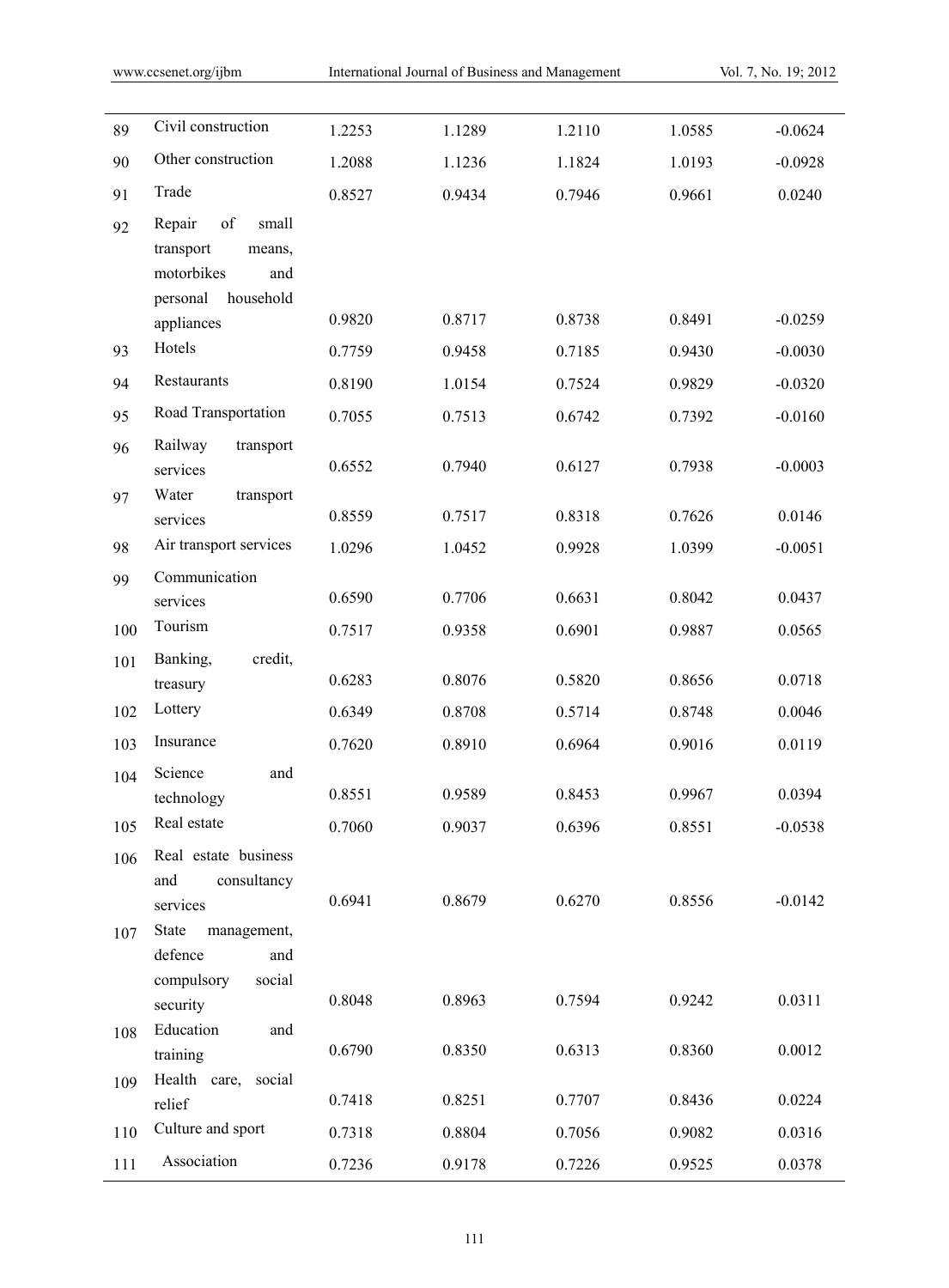| 89         | Civil construction                                                                                       | 1.2253 | 1.1289 | 1.2110 | 1.0585 | $-0.0624$ |
|------------|----------------------------------------------------------------------------------------------------------|--------|--------|--------|--------|-----------|
| 90         | Other construction                                                                                       | 1.2088 | 1.1236 | 1.1824 | 1.0193 | $-0.0928$ |
| 91         | Trade                                                                                                    | 0.8527 | 0.9434 | 0.7946 | 0.9661 | 0.0240    |
| 92         | of<br>Repair<br>small<br>transport<br>means,<br>motorbikes<br>and<br>household<br>personal<br>appliances | 0.9820 | 0.8717 | 0.8738 | 0.8491 | $-0.0259$ |
| 93         | Hotels                                                                                                   | 0.7759 | 0.9458 | 0.7185 | 0.9430 | $-0.0030$ |
| 94         | Restaurants                                                                                              | 0.8190 | 1.0154 | 0.7524 | 0.9829 | $-0.0320$ |
| 95         | Road Transportation                                                                                      | 0.7055 | 0.7513 | 0.6742 | 0.7392 | $-0.0160$ |
| 96         | Railway<br>transport<br>services                                                                         | 0.6552 | 0.7940 | 0.6127 | 0.7938 | $-0.0003$ |
| 97         | Water<br>transport<br>services                                                                           | 0.8559 | 0.7517 | 0.8318 | 0.7626 | 0.0146    |
| 98         | Air transport services                                                                                   | 1.0296 | 1.0452 | 0.9928 | 1.0399 | $-0.0051$ |
| 99         | Communication                                                                                            |        |        |        |        |           |
|            | services                                                                                                 | 0.6590 | 0.7706 | 0.6631 | 0.8042 | 0.0437    |
| 100        | Tourism                                                                                                  | 0.7517 | 0.9358 | 0.6901 | 0.9887 | 0.0565    |
| 101        | Banking,<br>credit,<br>treasury                                                                          | 0.6283 | 0.8076 | 0.5820 | 0.8656 | 0.0718    |
| 102        | Lottery                                                                                                  | 0.6349 | 0.8708 | 0.5714 | 0.8748 | 0.0046    |
| 103        | Insurance                                                                                                | 0.7620 | 0.8910 | 0.6964 | 0.9016 | 0.0119    |
| 104        | Science<br>and<br>technology                                                                             | 0.8551 | 0.9589 | 0.8453 | 0.9967 | 0.0394    |
| 105        | Real estate                                                                                              | 0.7060 | 0.9037 | 0.6396 | 0.8551 | $-0.0538$ |
| 106<br>107 | Real estate business<br>consultancy<br>and<br>services<br>State<br>management,<br>defence<br>and         | 0.6941 | 0.8679 | 0.6270 | 0.8556 | $-0.0142$ |
|            | compulsory<br>social<br>security                                                                         | 0.8048 | 0.8963 | 0.7594 | 0.9242 | 0.0311    |
| 108        | Education<br>and<br>training                                                                             | 0.6790 | 0.8350 | 0.6313 | 0.8360 | 0.0012    |
| 109        | Health care,<br>social<br>relief                                                                         | 0.7418 | 0.8251 | 0.7707 | 0.8436 | 0.0224    |
| 110        | Culture and sport                                                                                        | 0.7318 | 0.8804 | 0.7056 | 0.9082 | 0.0316    |
| 111        | Association                                                                                              | 0.7236 | 0.9178 | 0.7226 | 0.9525 | 0.0378    |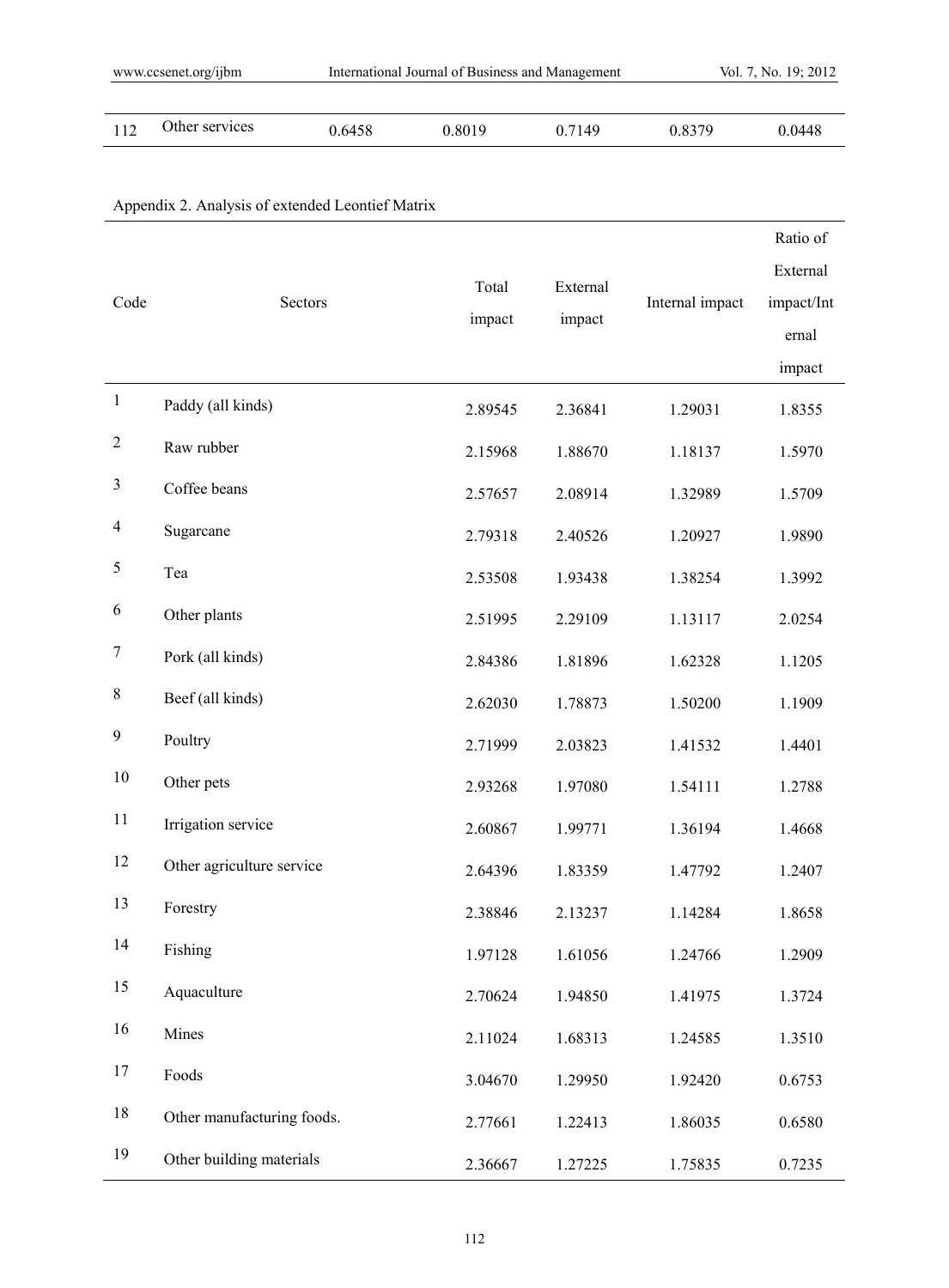| 112 | Other services | 0.6458 | 0.8019 | 0.7149 | 0.8379 | 0.0448 |
|-----|----------------|--------|--------|--------|--------|--------|
|-----|----------------|--------|--------|--------|--------|--------|

| Code             | Sectors                    | Total<br>impact | External<br>impact | Internal impact | Ratio of<br>External<br>impact/Int<br>ernal<br>impact |
|------------------|----------------------------|-----------------|--------------------|-----------------|-------------------------------------------------------|
| $\mathbf{1}$     | Paddy (all kinds)          | 2.89545         | 2.36841            | 1.29031         | 1.8355                                                |
| $\boldsymbol{2}$ | Raw rubber                 | 2.15968         | 1.88670            | 1.18137         | 1.5970                                                |
| $\mathfrak z$    | Coffee beans               | 2.57657         | 2.08914            | 1.32989         | 1.5709                                                |
| $\overline{4}$   | Sugarcane                  | 2.79318         | 2.40526            | 1.20927         | 1.9890                                                |
| 5                | Tea                        | 2.53508         | 1.93438            | 1.38254         | 1.3992                                                |
| 6                | Other plants               | 2.51995         | 2.29109            | 1.13117         | 2.0254                                                |
| $\overline{7}$   | Pork (all kinds)           | 2.84386         | 1.81896            | 1.62328         | 1.1205                                                |
| $8\,$            | Beef (all kinds)           | 2.62030         | 1.78873            | 1.50200         | 1.1909                                                |
| $\mathbf{9}$     | Poultry                    | 2.71999         | 2.03823            | 1.41532         | 1.4401                                                |
| $10\,$           | Other pets                 | 2.93268         | 1.97080            | 1.54111         | 1.2788                                                |
| 11               | Irrigation service         | 2.60867         | 1.99771            | 1.36194         | 1.4668                                                |
| 12               | Other agriculture service  | 2.64396         | 1.83359            | 1.47792         | 1.2407                                                |
| 13               | Forestry                   | 2.38846         | 2.13237            | 1.14284         | 1.8658                                                |
| 14               | Fishing                    | 1.97128         | 1.61056            | 1.24766         | 1.2909                                                |
| 15               | Aquaculture                | 2.70624         | 1.94850            | 1.41975         | 1.3724                                                |
| 16               | Mines                      | 2.11024         | 1.68313            | 1.24585         | 1.3510                                                |
| 17               | Foods                      | 3.04670         | 1.29950            | 1.92420         | 0.6753                                                |
| 18               | Other manufacturing foods. | 2.77661         | 1.22413            | 1.86035         | 0.6580                                                |
| 19               | Other building materials   | 2.36667         | 1.27225            | 1.75835         | 0.7235                                                |

# Appendix 2. Analysis of extended Leontief Matrix